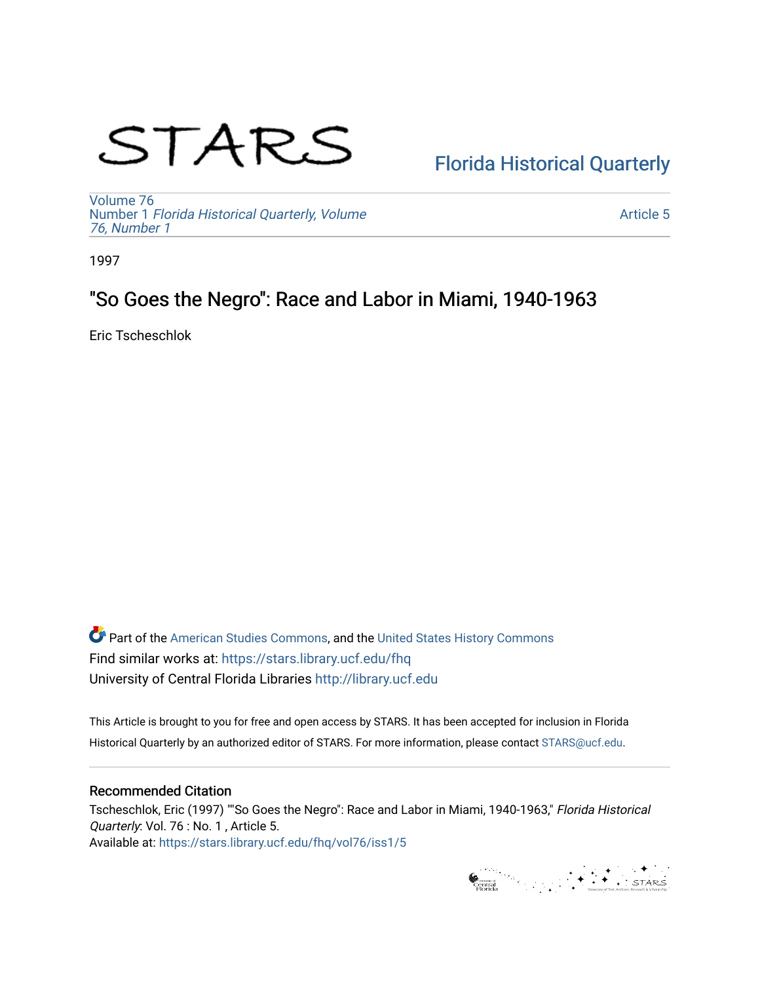# STARS

# [Florida Historical Quarterly](https://stars.library.ucf.edu/fhq)

[Volume 76](https://stars.library.ucf.edu/fhq/vol76) Number 1 [Florida Historical Quarterly, Volume](https://stars.library.ucf.edu/fhq/vol76/iss1)  [76, Number 1](https://stars.library.ucf.edu/fhq/vol76/iss1)

[Article 5](https://stars.library.ucf.edu/fhq/vol76/iss1/5) 

1997

# "So Goes the Negro": Race and Labor in Miami, 1940-1963

Eric Tscheschlok

**C** Part of the [American Studies Commons](http://network.bepress.com/hgg/discipline/439?utm_source=stars.library.ucf.edu%2Ffhq%2Fvol76%2Fiss1%2F5&utm_medium=PDF&utm_campaign=PDFCoverPages), and the United States History Commons Find similar works at: <https://stars.library.ucf.edu/fhq> University of Central Florida Libraries [http://library.ucf.edu](http://library.ucf.edu/) 

This Article is brought to you for free and open access by STARS. It has been accepted for inclusion in Florida Historical Quarterly by an authorized editor of STARS. For more information, please contact [STARS@ucf.edu.](mailto:STARS@ucf.edu)

# Recommended Citation

Tscheschlok, Eric (1997) ""So Goes the Negro": Race and Labor in Miami, 1940-1963," Florida Historical Quarterly: Vol. 76 : No. 1, Article 5. Available at: [https://stars.library.ucf.edu/fhq/vol76/iss1/5](https://stars.library.ucf.edu/fhq/vol76/iss1/5?utm_source=stars.library.ucf.edu%2Ffhq%2Fvol76%2Fiss1%2F5&utm_medium=PDF&utm_campaign=PDFCoverPages) 

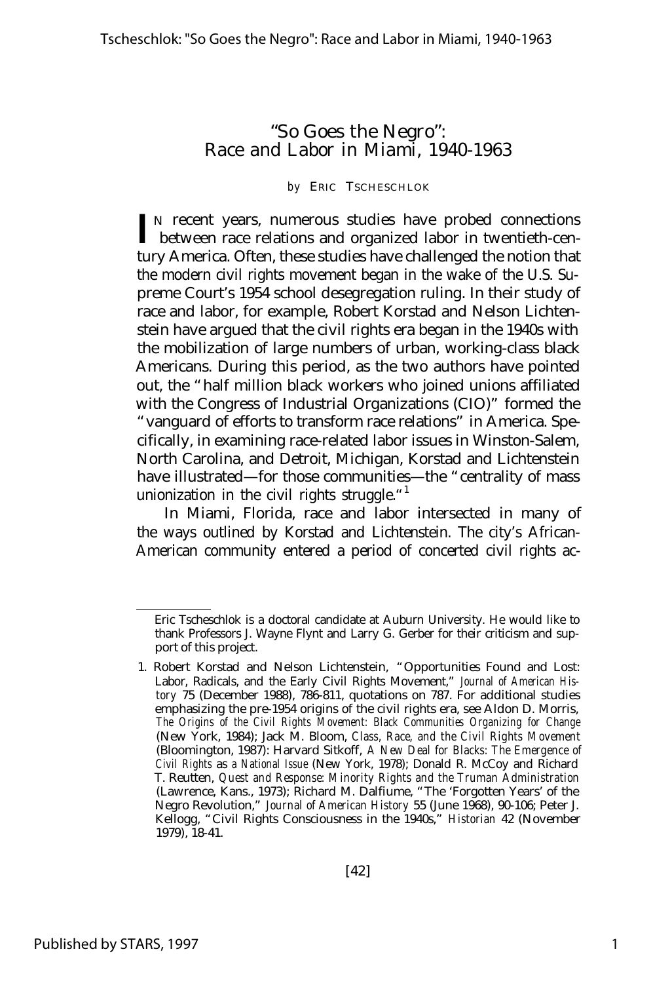# "So Goes the Negro": Race and Labor in Miami, 1940-1963

#### *by* ERIC TSCHESCHLOK

IN recent years, numerous studies have probed connections<br> **I** between race relations and organized labor in twentieth-cenbetween race relations and organized labor in twentieth-century America. Often, these studies have challenged the notion that the modern civil rights movement began in the wake of the U.S. Supreme Court's 1954 school desegregation ruling. In their study of race and labor, for example, Robert Korstad and Nelson Lichtenstein have argued that the civil rights era began in the 1940s with the mobilization of large numbers of urban, working-class black Americans. During this period, as the two authors have pointed out, the "half million black workers who joined unions affiliated with the Congress of Industrial Organizations (CIO)" formed the "vanguard of efforts to transform race relations" in America. Specifically, in examining race-related labor issues in Winston-Salem, North Carolina, and Detroit, Michigan, Korstad and Lichtenstein have illustrated— for those communities— the "centrality of mass unionization in the civil rights struggle. $1$ 

In Miami, Florida, race and labor intersected in many of the ways outlined by Korstad and Lichtenstein. The city's African-American community entered a period of concerted civil rights ac-

Eric Tscheschlok is a doctoral candidate at Auburn University. He would like to thank Professors J. Wayne Flynt and Larry G. Gerber for their criticism and support of this project.

<sup>1.</sup> Robert Korstad and Nelson Lichtenstein, "Opportunities Found and Lost: Labor, Radicals, and the Early Civil Rights Movement," *Journal of American History* 75 (December 1988), 786-811, quotations on 787. For additional studies emphasizing the pre-1954 origins of the civil rights era, see Aldon D. Morris, *The Origins of the Civil Rights Movement: Black Communities Organizing for Change* (New York, 1984); Jack M. Bloom, *Class, Race, and the Civil Rights Movement* (Bloomington, 1987): Harvard Sitkoff, *A New Deal for Blacks: The Emergence of Civil Rights* as *a National Issue* (New York, 1978); Donald R. McCoy and Richard T. Reutten, *Quest and Response: Minority Rights and the Truman Administration* (Lawrence, Kans., 1973); Richard M. Dalfiume, "The 'Forgotten Years' of the Negro Revolution," *Journal of American History* 55 (June 1968), 90-106; Peter J. Kellogg, "Civil Rights Consciousness in the 1940s," *Historian* 42 (November 1979), 18-41.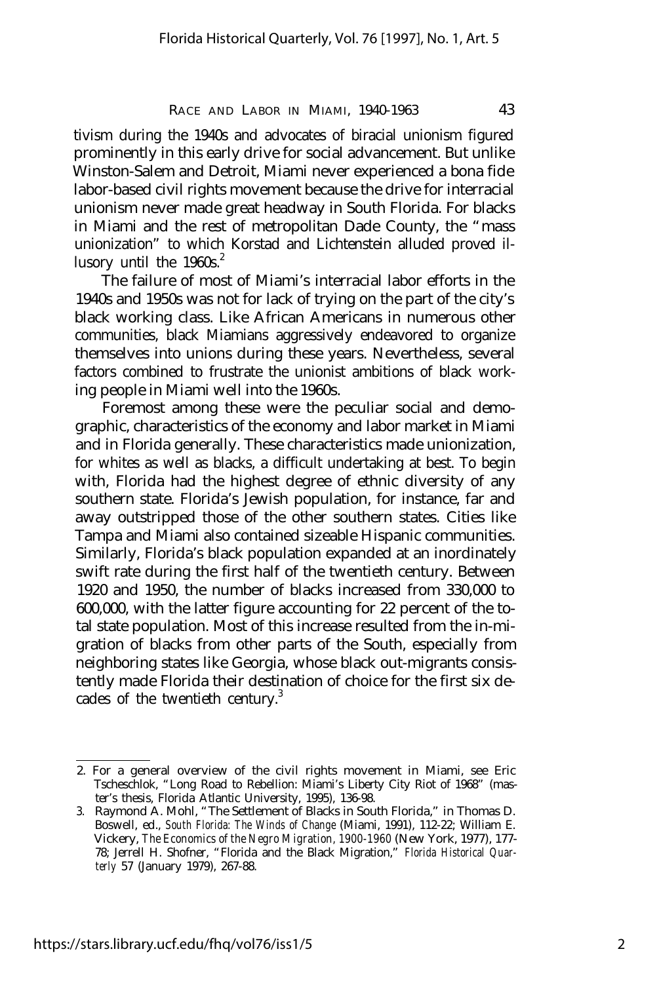tivism during the 1940s and advocates of biracial unionism figured prominently in this early drive for social advancement. But unlike Winston-Salem and Detroit, Miami never experienced a bona fide labor-based civil rights movement because the drive for interracial unionism never made great headway in South Florida. For blacks in Miami and the rest of metropolitan Dade County, the "mass unionization" to which Korstad and Lichtenstein alluded proved illusory until the  $1960s^2$ .

The failure of most of Miami's interracial labor efforts in the 1940s and 1950s was not for lack of trying on the part of the city's black working class. Like African Americans in numerous other communities, black Miamians aggressively endeavored to organize themselves into unions during these years. Nevertheless, several factors combined to frustrate the unionist ambitions of black working people in Miami well into the 1960s.

Foremost among these were the peculiar social and demographic, characteristics of the economy and labor market in Miami and in Florida generally. These characteristics made unionization, for whites as well as blacks, a difficult undertaking at best. To begin with, Florida had the highest degree of ethnic diversity of any southern state. Florida's Jewish population, for instance, far and away outstripped those of the other southern states. Cities like Tampa and Miami also contained sizeable Hispanic communities. Similarly, Florida's black population expanded at an inordinately swift rate during the first half of the twentieth century. Between 1920 and 1950, the number of blacks increased from 330,000 to 600,000, with the latter figure accounting for 22 percent of the total state population. Most of this increase resulted from the in-migration of blacks from other parts of the South, especially from neighboring states like Georgia, whose black out-migrants consistently made Florida their destination of choice for the first six decades of the twentieth century.<sup>3</sup>

<sup>2.</sup> For a general overview of the civil rights movement in Miami, see Eric Tscheschlok, "Long Road to Rebellion: Miami's Liberty City Riot of 1968" (master's thesis, Florida Atlantic University, 1995), 136-98.

<sup>3.</sup> Raymond A. Mohl, "The Settlement of Blacks in South Florida," in Thomas D. Boswell, ed., *South Florida: The Winds of Change* (Miami, 1991), 112-22; William E. Vickery, *The Economics of the Negro Migration, 1900-1960* (New York, 1977), 177- 78; Jerrell H. Shofner, "Florida and the Black Migration," *Florida Historical Quarterly* 57 (January 1979), 267-88.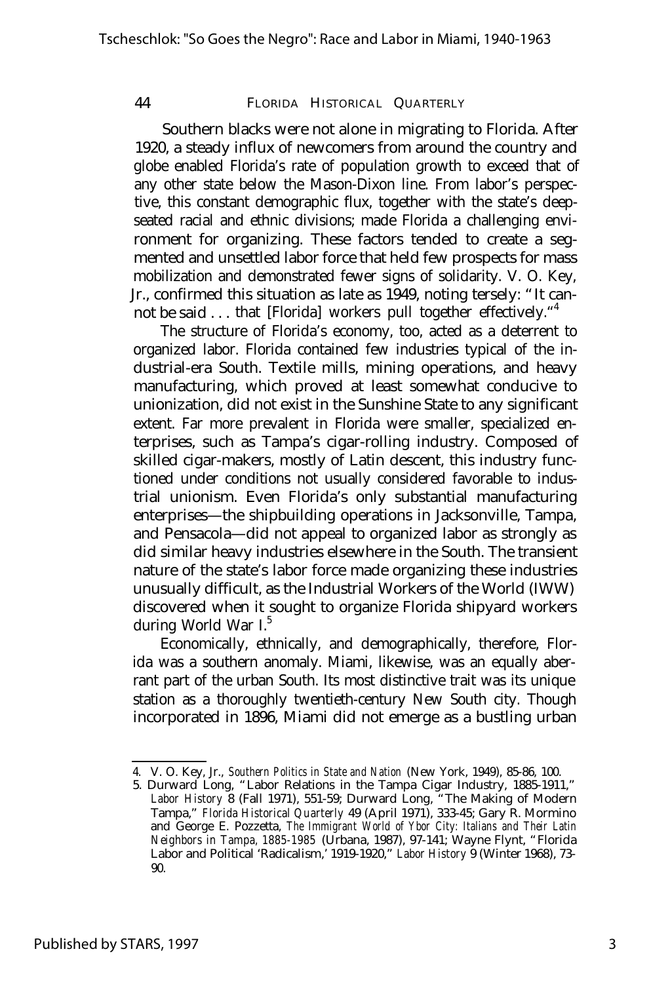Southern blacks were not alone in migrating to Florida. After 1920, a steady influx of newcomers from around the country and globe enabled Florida's rate of population growth to exceed that of any other state below the Mason-Dixon line. From labor's perspective, this constant demographic flux, together with the state's deepseated racial and ethnic divisions; made Florida a challenging environment for organizing. These factors tended to create a segmented and unsettled labor force that held few prospects for mass mobilization and demonstrated fewer signs of solidarity. V. O. Key, Jr., confirmed this situation as late as 1949, noting tersely: "It cannot be said . . . that [Florida] workers pull together effectively."<sup>4</sup>

The structure of Florida's economy, too, acted as a deterrent to organized labor. Florida contained few industries typical of the industrial-era South. Textile mills, mining operations, and heavy manufacturing, which proved at least somewhat conducive to unionization, did not exist in the Sunshine State to any significant extent. Far more prevalent in Florida were smaller, specialized enterprises, such as Tampa's cigar-rolling industry. Composed of skilled cigar-makers, mostly of Latin descent, this industry functioned under conditions not usually considered favorable to industrial unionism. Even Florida's only substantial manufacturing enterprises— the shipbuilding operations in Jacksonville, Tampa, and Pensacola— did not appeal to organized labor as strongly as did similar heavy industries elsewhere in the South. The transient nature of the state's labor force made organizing these industries unusually difficult, as the Industrial Workers of the World (IWW) discovered when it sought to organize Florida shipyard workers during World War I.<sup>5</sup>

Economically, ethnically, and demographically, therefore, Florida was a southern anomaly. Miami, likewise, was an equally aberrant part of the urban South. Its most distinctive trait was its unique station as a thoroughly twentieth-century New South city. Though incorporated in 1896, Miami did not emerge as a bustling urban

<sup>4.</sup> V. O. Key, Jr., *Southern Politics in State and Nation* (New York, 1949), 85-86, 100.

<sup>5.</sup> Durward Long, "Labor Relations in the Tampa Cigar Industry, 1885-1911," *Labor History* 8 (Fall 1971), 551-59; Durward Long, "The Making of Modern Tampa," *Florida Historical Quarterly* 49 (April 1971), 333-45; Gary R. Mormino and George E. Pozzetta, *The Immigrant World of Ybor City: Italians and Their Latin Neighbors in Tampa, 1885-1985* (Urbana, 1987), 97-141; Wayne Flynt, "Florida Labor and Political 'Radicalism,' 1919-1920," *Labor History* 9 (Winter 1968), 73- 90.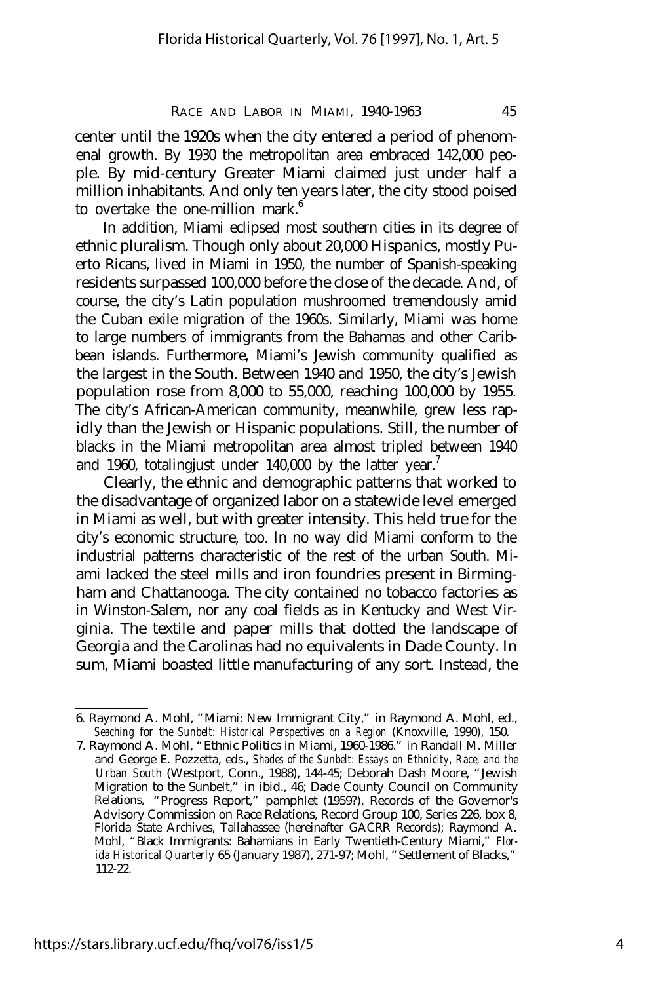center until the 1920s when the city entered a period of phenomenal growth. By 1930 the metropolitan area embraced 142,000 people. By mid-century Greater Miami claimed just under half a million inhabitants. And only ten years later, the city stood poised to overtake the one-million mark.<sup>6</sup>

In addition, Miami eclipsed most southern cities in its degree of ethnic pluralism. Though only about 20,000 Hispanics, mostly Puerto Ricans, lived in Miami in 1950, the number of Spanish-speaking residents surpassed 100,000 before the close of the decade. And, of course, the city's Latin population mushroomed tremendously amid the Cuban exile migration of the 1960s. Similarly, Miami was home to large numbers of immigrants from the Bahamas and other Caribbean islands. Furthermore, Miami's Jewish community qualified as the largest in the South. Between 1940 and 1950, the city's Jewish population rose from 8,000 to 55,000, reaching 100,000 by 1955. The city's African-American community, meanwhile, grew less rapidly than the Jewish or Hispanic populations. Still, the number of blacks in the Miami metropolitan area almost tripled between 1940 and 1960, totalingjust under 140,000 by the latter year.<sup>7</sup>

Clearly, the ethnic and demographic patterns that worked to the disadvantage of organized labor on a statewide level emerged in Miami as well, but with greater intensity. This held true for the city's economic structure, too. In no way did Miami conform to the industrial patterns characteristic of the rest of the urban South. Miami lacked the steel mills and iron foundries present in Birmingham and Chattanooga. The city contained no tobacco factories as in Winston-Salem, nor any coal fields as in Kentucky and West Virginia. The textile and paper mills that dotted the landscape of Georgia and the Carolinas had no equivalents in Dade County. In sum, Miami boasted little manufacturing of any sort. Instead, the

<sup>6.</sup> Raymond A. Mohl, "Miami: New Immigrant City," in Raymond A. Mohl, ed., *Seaching for the Sunbelt: Historical Perspectives on a Region* (Knoxville, 1990), 150.

<sup>7.</sup> Raymond A. Mohl, "Ethnic Politics in Miami, 1960-1986." in Randall M. Miller and George E. Pozzetta, eds., *Shades of the Sunbelt: Essays on Ethnicity, Race, and the Urban South* (Westport, Conn., 1988), 144-45; Deborah Dash Moore, "Jewish Migration to the Sunbelt," in ibid., 46; Dade County Council on Community Relations, "Progress Report," pamphlet (1959?), Records of the Governor's Advisory Commission on Race Relations, Record Group 100, Series 226, box 8, Florida State Archives, Tallahassee (hereinafter GACRR Records); Raymond A. Mohl, "Black Immigrants: Bahamians in Early Twentieth-Century Miami," *Florida Historical Quarterly* 65 (January 1987), 271-97; Mohl, "Settlement of Blacks," 112-22.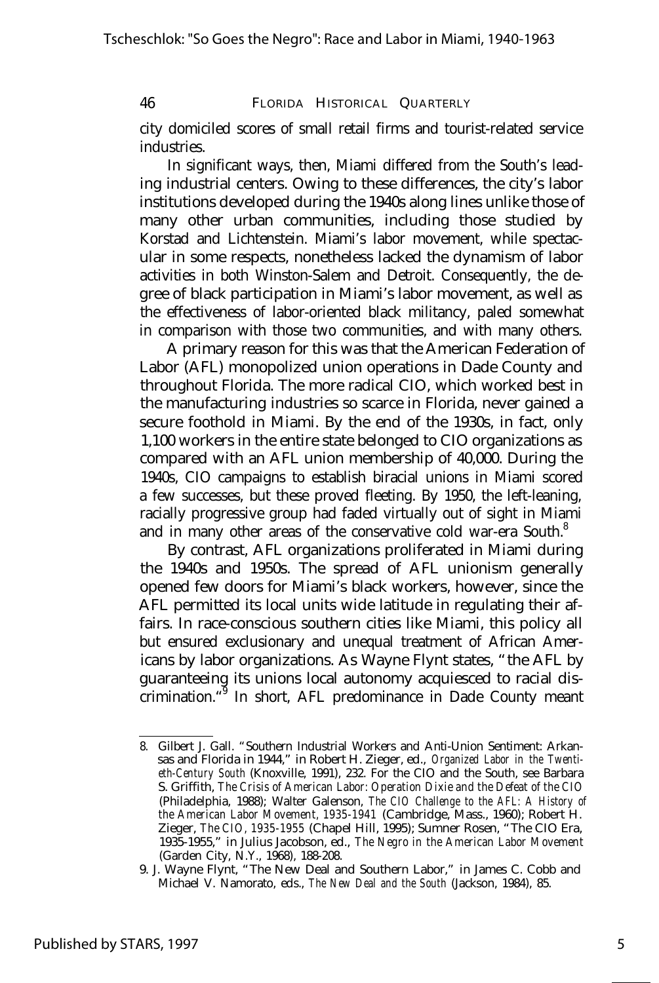city domiciled scores of small retail firms and tourist-related service industries.

In significant ways, then, Miami differed from the South's leading industrial centers. Owing to these differences, the city's labor institutions developed during the 1940s along lines unlike those of many other urban communities, including those studied by Korstad and Lichtenstein. Miami's labor movement, while spectacular in some respects, nonetheless lacked the dynamism of labor activities in both Winston-Salem and Detroit. Consequently, the degree of black participation in Miami's labor movement, as well as the effectiveness of labor-oriented black militancy, paled somewhat in comparison with those two communities, and with many others.

A primary reason for this was that the American Federation of Labor (AFL) monopolized union operations in Dade County and throughout Florida. The more radical CIO, which worked best in the manufacturing industries so scarce in Florida, never gained a secure foothold in Miami. By the end of the 1930s, in fact, only 1,100 workers in the entire state belonged to CIO organizations as compared with an AFL union membership of 40,000. During the 1940s, CIO campaigns to establish biracial unions in Miami scored a few successes, but these proved fleeting. By 1950, the left-leaning, racially progressive group had faded virtually out of sight in Miami and in many other areas of the conservative cold war-era South.<sup>8</sup>

By contrast, AFL organizations proliferated in Miami during the 1940s and 1950s. The spread of AFL unionism generally opened few doors for Miami's black workers, however, since the AFL permitted its local units wide latitude in regulating their affairs. In race-conscious southern cities like Miami, this policy all but ensured exclusionary and unequal treatment of African Americans by labor organizations. As Wayne Flynt states, "the AFL by guaranteeing its unions local autonomy acquiesced to racial discrimination.<sup>49</sup> In short, AFL predominance in Dade County meant

<sup>8.</sup> Gilbert J. Gall. "Southern Industrial Workers and Anti-Union Sentiment: Arkansas and Florida in 1944," in Robert H. Zieger, ed., *Organized Labor in the Twentieth-Century South* (Knoxville, 1991), 232. For the CIO and the South, see Barbara S. Griffith, *The Crisis of American Labor: Operation Dixie and the Defeat of the CIO* (Philadelphia, 1988); Walter Galenson, *The CIO Challenge to the AFL: A History of the American Labor Movement, 1935-1941* (Cambridge, Mass., 1960); Robert H. Zieger, *The CIO, 1935-1955* (Chapel Hill, 1995); Sumner Rosen, "The CIO Era, 1935-1955," in Julius Jacobson, ed., *The Negro in the American Labor Movement* (Garden City, N.Y., 1968), 188-208.

<sup>9.</sup> J. Wayne Flynt, "The New Deal and Southern Labor," in James C. Cobb and Michael V. Namorato, eds., *The New Deal and the South* (Jackson, 1984), 85.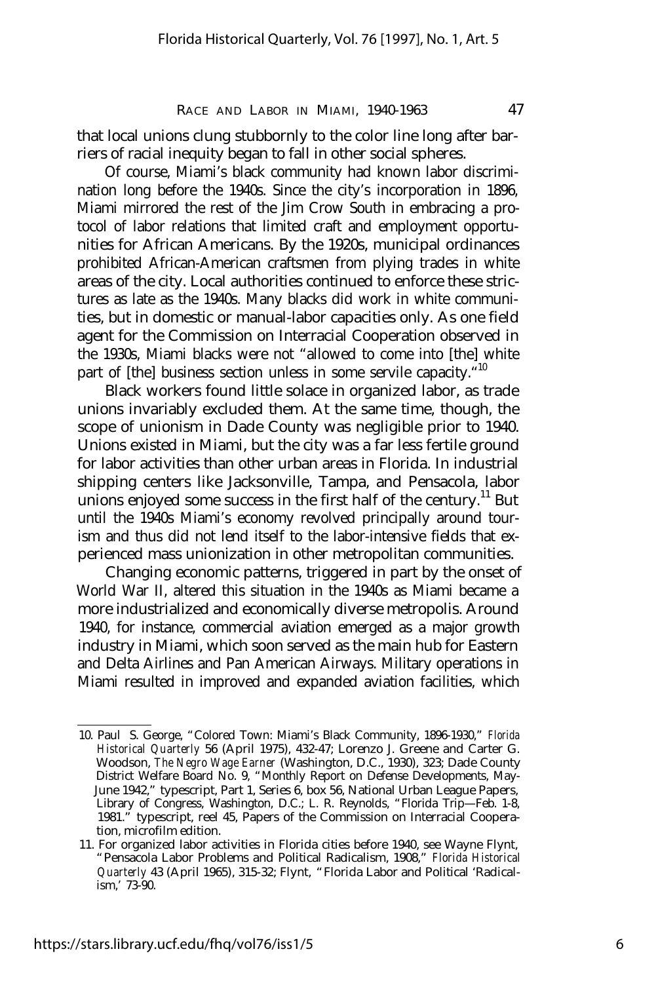that local unions clung stubbornly to the color line long after barriers of racial inequity began to fall in other social spheres.

Of course, Miami's black community had known labor discrimination long before the 1940s. Since the city's incorporation in 1896, Miami mirrored the rest of the Jim Crow South in embracing a protocol of labor relations that limited craft and employment opportunities for African Americans. By the 1920s, municipal ordinances prohibited African-American craftsmen from plying trades in white areas of the city. Local authorities continued to enforce these strictures as late as the 1940s. Many blacks did work in white communities, but in domestic or manual-labor capacities only. As one field agent for the Commission on Interracial Cooperation observed in the 1930s, Miami blacks were not "allowed to come into [the] white part of [the] business section unless in some servile capacity."<sup>10</sup>

Black workers found little solace in organized labor, as trade unions invariably excluded them. At the same time, though, the scope of unionism in Dade County was negligible prior to 1940. Unions existed in Miami, but the city was a far less fertile ground for labor activities than other urban areas in Florida. In industrial shipping centers like Jacksonville, Tampa, and Pensacola, labor unions enjoyed some success in the first half of the century.<sup>11</sup> But until the 1940s Miami's economy revolved principally around tourism and thus did not lend itself to the labor-intensive fields that experienced mass unionization in other metropolitan communities.

Changing economic patterns, triggered in part by the onset of World War II, altered this situation in the 1940s as Miami became a more industrialized and economically diverse metropolis. Around 1940, for instance, commercial aviation emerged as a major growth industry in Miami, which soon served as the main hub for Eastern and Delta Airlines and Pan American Airways. Military operations in Miami resulted in improved and expanded aviation facilities, which

<sup>10.</sup> Paul S. George, "Colored Town: Miami's Black Community, 1896-1930," *Florida Historical Quarterly* 56 (April 1975), 432-47; Lorenzo J. Greene and Carter G. Woodson, *The Negro Wage Earner* (Washington, D.C., 1930), 323; Dade County District Welfare Board No. 9, "Monthly Report on Defense Developments, May-June 1942," typescript, Part 1, Series 6, box 56, National Urban League Papers, Library of Congress, Washington, D.C.; L. R. Reynolds, "Florida Trip— Feb. 1-8, 1981." typescript, reel 45, Papers of the Commission on Interracial Cooperation, microfilm edition.

<sup>11.</sup> For organized labor activities in Florida cities before 1940, see Wayne Flynt, "Pensacola Labor Problems and Political Radicalism, 1908," *Florida Historical Quarterly* 43 (April 1965), 315-32; Flynt, "Florida Labor and Political 'Radicalism,' 73-90.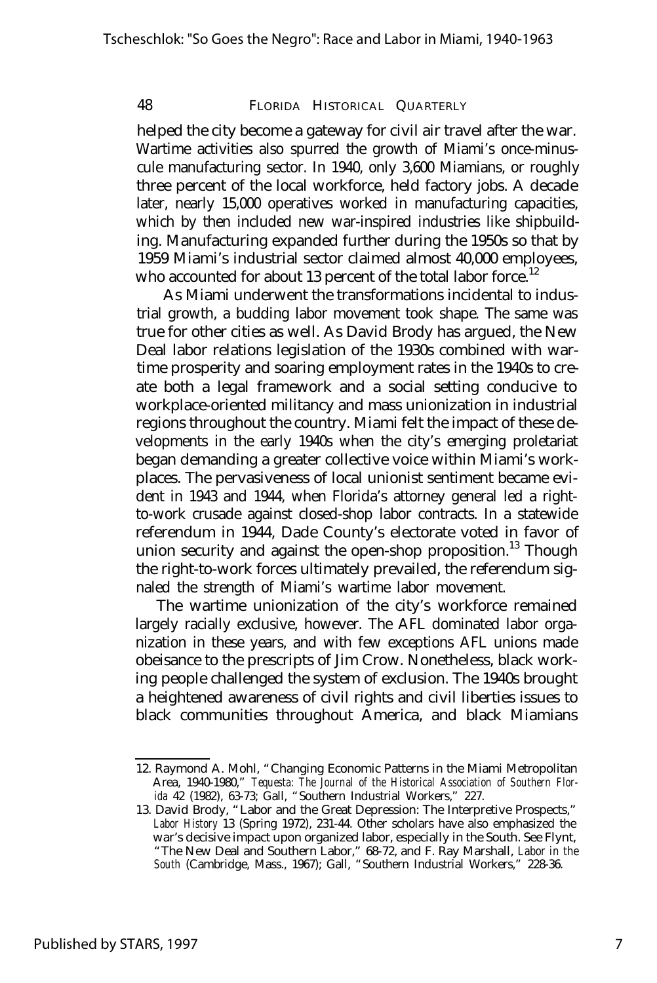helped the city become a gateway for civil air travel after the war. Wartime activities also spurred the growth of Miami's once-minuscule manufacturing sector. In 1940, only 3,600 Miamians, or roughly three percent of the local workforce, held factory jobs. A decade later, nearly 15,000 operatives worked in manufacturing capacities, which by then included new war-inspired industries like shipbuilding. Manufacturing expanded further during the 1950s so that by 1959 Miami's industrial sector claimed almost 40,000 employees, who accounted for about 13 percent of the total labor force.<sup>12</sup>

As Miami underwent the transformations incidental to industrial growth, a budding labor movement took shape. The same was true for other cities as well. As David Brody has argued, the New Deal labor relations legislation of the 1930s combined with wartime prosperity and soaring employment rates in the 1940s to create both a legal framework and a social setting conducive to workplace-oriented militancy and mass unionization in industrial regions throughout the country. Miami felt the impact of these developments in the early 1940s when the city's emerging proletariat began demanding a greater collective voice within Miami's workplaces. The pervasiveness of local unionist sentiment became evident in 1943 and 1944, when Florida's attorney general led a rightto-work crusade against closed-shop labor contracts. In a statewide referendum in 1944, Dade County's electorate voted in favor of union security and against the open-shop proposition.<sup>13</sup> Though the right-to-work forces ultimately prevailed, the referendum signaled the strength of Miami's wartime labor movement.

The wartime unionization of the city's workforce remained largely racially exclusive, however. The AFL dominated labor organization in these years, and with few exceptions AFL unions made obeisance to the prescripts of Jim Crow. Nonetheless, black working people challenged the system of exclusion. The 1940s brought a heightened awareness of civil rights and civil liberties issues to black communities throughout America, and black Miamians

<sup>12.</sup> Raymond A. Mohl, "Changing Economic Patterns in the Miami Metropolitan Area, 1940-1980," *Tequesta: The Journal of the Historical Association of Southern Florida* 42 (1982), 63-73; Gall, "Southern Industrial Workers," 227.

<sup>13.</sup> David Brody, "Labor and the Great Depression: The Interpretive Prospects," *Labor History* 13 (Spring 1972), 231-44. Other scholars have also emphasized the war's decisive impact upon organized labor, especially in the South. See Flynt, "The New Deal and Southern Labor," 68-72, and F. Ray Marshall, *Labor in the South* (Cambridge, Mass., 1967); Gall, "Southern Industrial Workers," 228-36.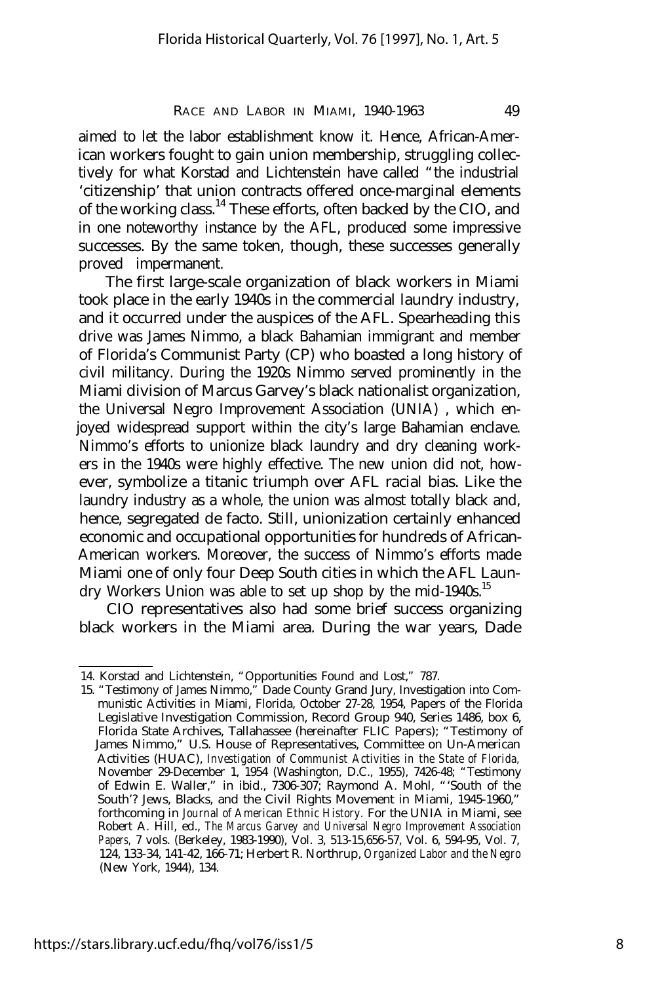aimed to let the labor establishment know it. Hence, African-American workers fought to gain union membership, struggling collectively for what Korstad and Lichtenstein have called "the industrial 'citizenship' that union contracts offered once-marginal elements of the working class.<sup>14</sup> These efforts, often backed by the CIO, and in one noteworthy instance by the AFL, produced some impressive successes. By the same token, though, these successes generally proved impermanent.

The first large-scale organization of black workers in Miami took place in the early 1940s in the commercial laundry industry, and it occurred under the auspices of the AFL. Spearheading this drive was James Nimmo, a black Bahamian immigrant and member of Florida's Communist Party (CP) who boasted a long history of civil militancy. During the 1920s Nimmo served prominently in the Miami division of Marcus Garvey's black nationalist organization, the Universal Negro Improvement Association (UNIA) , which enjoyed widespread support within the city's large Bahamian enclave. Nimmo's efforts to unionize black laundry and dry cleaning workers in the 1940s were highly effective. The new union did not, however, symbolize a titanic triumph over AFL racial bias. Like the laundry industry as a whole, the union was almost totally black and, hence, segregated de facto. Still, unionization certainly enhanced economic and occupational opportunities for hundreds of African-American workers. Moreover, the success of Nimmo's efforts made Miami one of only four Deep South cities in which the AFL Laundry Workers Union was able to set up shop by the mid-1940s.<sup>15</sup>

CIO representatives also had some brief success organizing black workers in the Miami area. During the war years, Dade

<sup>14.</sup> Korstad and Lichtenstein, "Opportunities Found and Lost," 787.

<sup>15. &</sup>quot;Testimony of James Nimmo," Dade County Grand Jury, Investigation into Communistic Activities in Miami, Florida, October 27-28, 1954, Papers of the Florida Legislative Investigation Commission, Record Group 940, Series 1486, box 6, Florida State Archives, Tallahassee (hereinafter FLIC Papers); "Testimony of James Nimmo," U.S. House of Representatives, Committee on Un-American Activities (HUAC), *Investigation of Communist Activities in the State of Florida,* November 29-December 1, 1954 (Washington, D.C., 1955), 7426-48; "Testimony of Edwin E. Waller," in ibid., 7306-307; Raymond A. Mohl, "'South of the South'? Jews, Blacks, and the Civil Rights Movement in Miami, 1945-1960," forthcoming in *Journal of American Ethnic History.* For the UNIA in Miami, see Robert A. Hill, ed., *The Marcus Garvey and Universal Negro Improvement Association Papers,* 7 vols. (Berkeley, 1983-1990), Vol. 3, 513-15,656-57, Vol. 6, 594-95, Vol. 7, 124, 133-34, 141-42, 166-71; Herbert R. Northrup, *Organized Labor and the Negro* (New York, 1944), 134.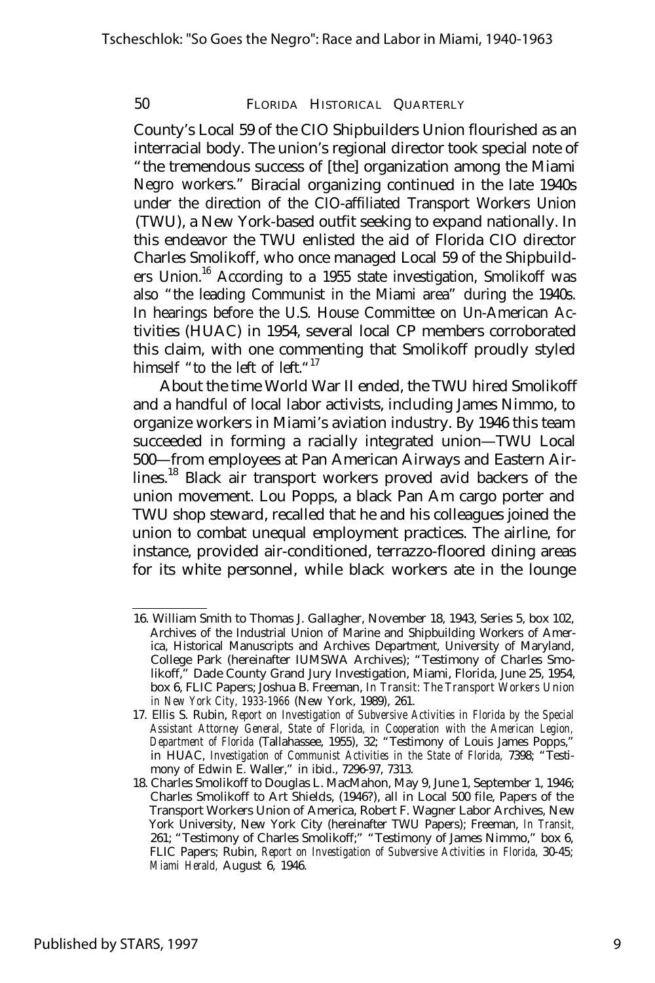County's Local 59 of the CIO Shipbuilders Union flourished as an interracial body. The union's regional director took special note of "the tremendous success of [the] organization among the Miami Negro workers." Biracial organizing continued in the late 1940s under the direction of the CIO-affiliated Transport Workers Union (TWU), a New York-based outfit seeking to expand nationally. In this endeavor the TWU enlisted the aid of Florida CIO director Charles Smolikoff, who once managed Local 59 of the Shipbuilders Union.<sup>16</sup> According to a 1955 state investigation, Smolikoff was also "the leading Communist in the Miami area" during the 1940s. In hearings before the U.S. House Committee on Un-American Activities (HUAC) in 1954, several local CP members corroborated this claim, with one commenting that Smolikoff proudly styled himself "to the left of left." $17$ 

About the time World War II ended, the TWU hired Smolikoff and a handful of local labor activists, including James Nimmo, to organize workers in Miami's aviation industry. By 1946 this team succeeded in forming a racially integrated union— TWU Local 500— from employees at Pan American Airways and Eastern Airlines.<sup>18</sup> Black air transport workers proved avid backers of the union movement. Lou Popps, a black Pan Am cargo porter and TWU shop steward, recalled that he and his colleagues joined the union to combat unequal employment practices. The airline, for instance, provided air-conditioned, terrazzo-floored dining areas for its white personnel, while black workers ate in the lounge

<sup>16.</sup> William Smith to Thomas J. Gallagher, November 18, 1943, Series 5, box 102, Archives of the Industrial Union of Marine and Shipbuilding Workers of America, Historical Manuscripts and Archives Department, University of Maryland, College Park (hereinafter IUMSWA Archives); "Testimony of Charles Smolikoff," Dade County Grand Jury Investigation, Miami, Florida, June 25, 1954, box 6, FLIC Papers; Joshua B. Freeman, *In Transit: The Transport Workers Union in New York City, 1933-1966* (New York, 1989), 261.

<sup>17.</sup> Ellis S. Rubin, *Report on Investigation of Subversive Activities in Florida by the Special Assistant Attorney General, State of Florida, in Cooperation with the American Legion, Department of Florida* (Tallahassee, 1955), 32; "Testimony of Louis James Popps," in HUAC, *Investigation of Communist Activities in the State of Florida,* 7398; "Testimony of Edwin E. Waller," in ibid., 7296-97, 7313.

<sup>18.</sup> Charles Smolikoff to Douglas L. MacMahon, May 9, June 1, September 1, 1946; Charles Smolikoff to Art Shields, (1946?), all in Local 500 file, Papers of the Transport Workers Union of America, Robert F. Wagner Labor Archives, New York University, New York City (hereinafter TWU Papers); Freeman, *In Transit,* 261; "Testimony of Charles Smolikoff;" "Testimony of James Nimmo," box 6, FLIC Papers; Rubin, *Report on Investigation of Subversive Activities in Florida,* 30-45; *Miami Herald,* August 6, 1946.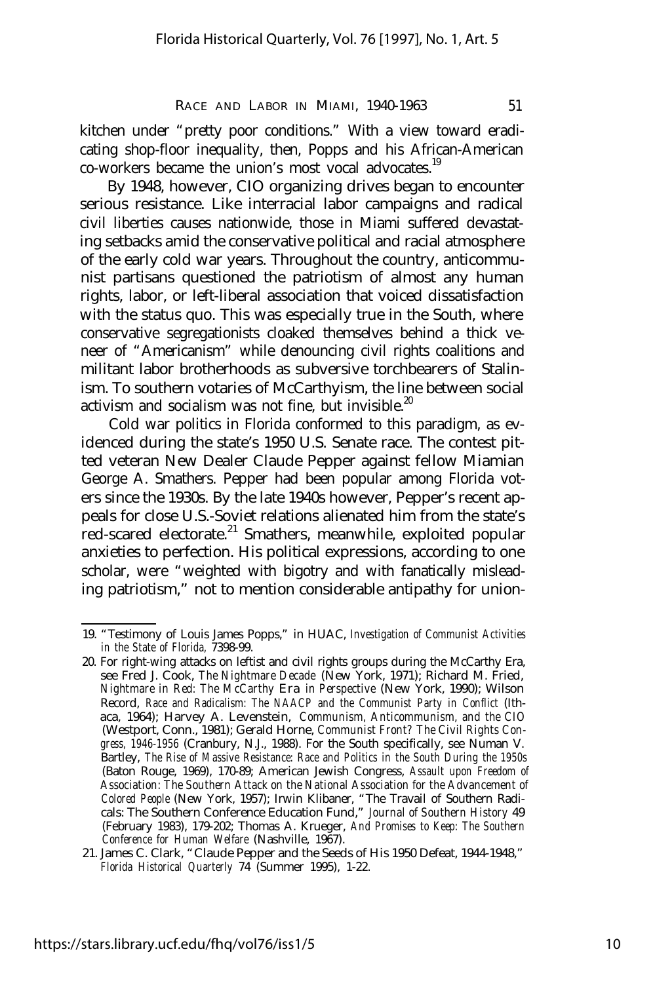kitchen under "pretty poor conditions." With a view toward eradicating shop-floor inequality, then, Popps and his African-American co-workers became the union's most vocal advocates.<sup>19</sup>

By 1948, however, CIO organizing drives began to encounter serious resistance. Like interracial labor campaigns and radical civil liberties causes nationwide, those in Miami suffered devastating setbacks amid the conservative political and racial atmosphere of the early cold war years. Throughout the country, anticommunist partisans questioned the patriotism of almost any human rights, labor, or left-liberal association that voiced dissatisfaction with the status quo. This was especially true in the South, where conservative segregationists cloaked themselves behind a thick veneer of "Americanism" while denouncing civil rights coalitions and militant labor brotherhoods as subversive torchbearers of Stalinism. To southern votaries of McCarthyism, the line between social activism and socialism was not fine, but invisible.<sup>20</sup>

Cold war politics in Florida conformed to this paradigm, as evidenced during the state's 1950 U.S. Senate race. The contest pitted veteran New Dealer Claude Pepper against fellow Miamian George A. Smathers. Pepper had been popular among Florida voters since the 1930s. By the late 1940s however, Pepper's recent appeals for close U.S.-Soviet relations alienated him from the state's red-scared electorate.<sup>21</sup> Smathers, meanwhile, exploited popular anxieties to perfection. His political expressions, according to one scholar, were "weighted with bigotry and with fanatically misleading patriotism," not to mention considerable antipathy for union-

<sup>19. &</sup>quot;Testimony of Louis James Popps," in HUAC, *Investigation of Communist Activities in the State of Florida,* 7398-99.

<sup>20.</sup> For right-wing attacks on leftist and civil rights groups during the McCarthy Era, see Fred J. Cook, *The Nightmare Decade* (New York, 1971); Richard M. Fried, *Nightmare in Red: The McCarthy Era in Perspective* (New York, 1990); Wilson Record, *Race and Radicalism: The NAACP and the Communist Party in Conflict* (Ithaca, 1964); Harvey A. Levenstein, *Communism, Anticommunism, and the CIO* (Westport, Conn., 1981); Gerald Horne, *Communist Front? The Civil Rights Congress, 1946-1956* (Cranbury, N.J., 1988). For the South specifically, see Numan V. Bartley, *The Rise of Massive Resistance: Race and Politics in the South During the 1950s* (Baton Rouge, 1969), 170-89; American Jewish Congress, *Assault upon Freedom of Association: The Southern Attack on the National Association for the Advancement of Colored People* (New York, 1957); Irwin Klibaner, "The Travail of Southern Radicals: The Southern Conference Education Fund," *Journal of Southern History* 49 (February 1983), 179-202; Thomas A. Krueger, *And Promises to Keep: The Southern Conference for Human Welfare* (Nashville, 1967).

<sup>21.</sup> James C. Clark, "Claude Pepper and the Seeds of His 1950 Defeat, 1944-1948," *Florida Historical Quarterly* 74 (Summer 1995), 1-22.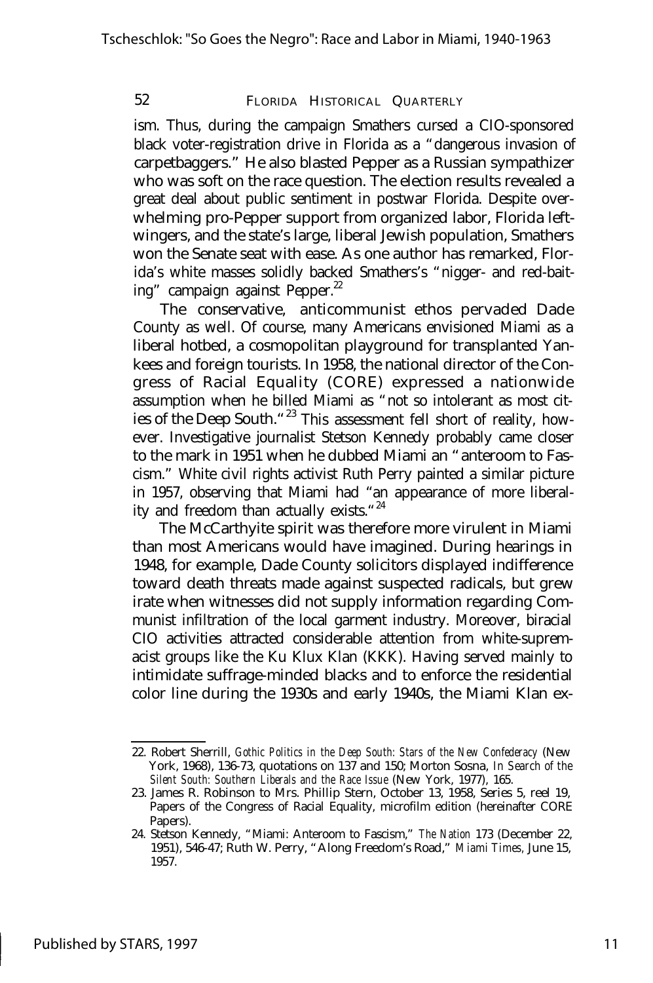ism. Thus, during the campaign Smathers cursed a CIO-sponsored black voter-registration drive in Florida as a "dangerous invasion of carpetbaggers." He also blasted Pepper as a Russian sympathizer who was soft on the race question. The election results revealed a great deal about public sentiment in postwar Florida. Despite overwhelming pro-Pepper support from organized labor, Florida leftwingers, and the state's large, liberal Jewish population, Smathers won the Senate seat with ease. As one author has remarked, Florida's white masses solidly backed Smathers's "nigger- and red-baiting" campaign against Pepper.<sup>22</sup>

The conservative, anticommunist ethos pervaded Dade County as well. Of course, many Americans envisioned Miami as a liberal hotbed, a cosmopolitan playground for transplanted Yankees and foreign tourists. In 1958, the national director of the Congress of Racial Equality (CORE) expressed a nationwide assumption when he billed Miami as "not so intolerant as most cities of the Deep South."<sup>23</sup> This assessment fell short of reality, however. Investigative journalist Stetson Kennedy probably came closer to the mark in 1951 when he dubbed Miami an "anteroom to Fascism." White civil rights activist Ruth Perry painted a similar picture in 1957, observing that Miami had "an appearance of more liberality and freedom than actually exists."<sup>24</sup>

The McCarthyite spirit was therefore more virulent in Miami than most Americans would have imagined. During hearings in 1948, for example, Dade County solicitors displayed indifference toward death threats made against suspected radicals, but grew irate when witnesses did not supply information regarding Communist infiltration of the local garment industry. Moreover, biracial CIO activities attracted considerable attention from white-supremacist groups like the Ku Klux Klan (KKK). Having served mainly to intimidate suffrage-minded blacks and to enforce the residential color line during the 1930s and early 1940s, the Miami Klan ex-

<sup>22.</sup> Robert Sherrill, *Gothic Politics in the Deep South: Stars of the New Confederacy* (New York, 1968), 136-73, quotations on 137 and 150; Morton Sosna, *In Search of the Silent South: Southern Liberals and the Race Issue* (New York, 1977), 165.

<sup>23.</sup> James R. Robinson to Mrs. Phillip Stern, October 13, 1958, Series 5, reel 19, Papers of the Congress of Racial Equality, microfilm edition (hereinafter CORE Papers).

<sup>24.</sup> Stetson Kennedy, "Miami: Anteroom to Fascism," *The Nation* 173 (December 22, 1951), 546-47; Ruth W. Perry, "Along Freedom's Road," *Miami Times,* June 15, 1957.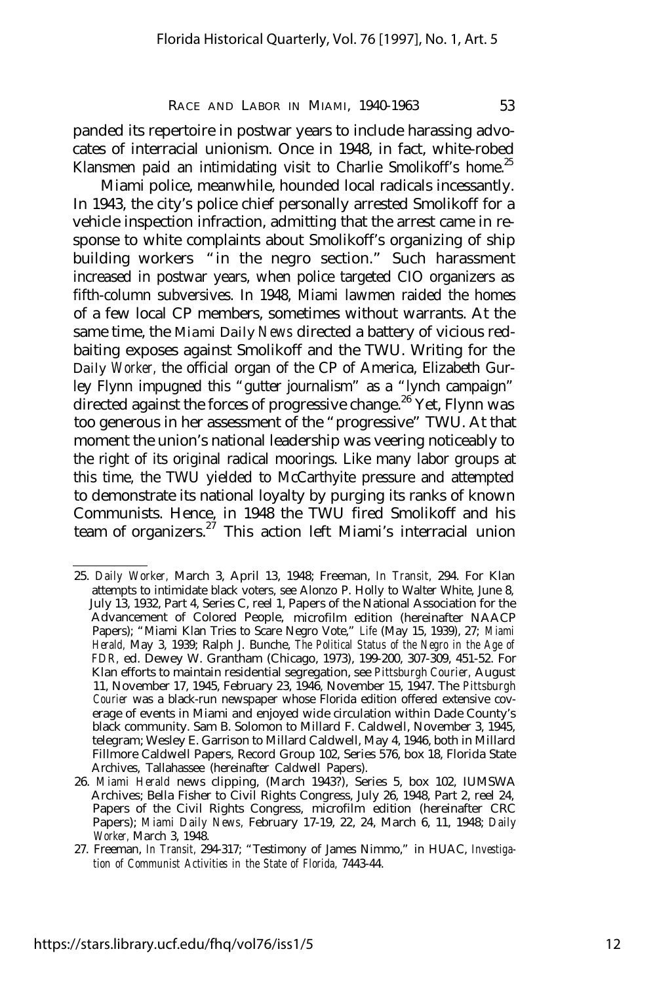panded its repertoire in postwar years to include harassing advocates of interracial unionism. Once in 1948, in fact, white-robed Klansmen paid an intimidating visit to Charlie Smolikoff's home.<sup>25</sup>

Miami police, meanwhile, hounded local radicals incessantly. In 1943, the city's police chief personally arrested Smolikoff for a vehicle inspection infraction, admitting that the arrest came in response to white complaints about Smolikoff's organizing of ship building workers "in the negro section." Such harassment increased in postwar years, when police targeted CIO organizers as fifth-column subversives. In 1948, Miami lawmen raided the homes of a few local CP members, sometimes without warrants. At the same time, the *Miami Daily News* directed a battery of vicious redbaiting exposes against Smolikoff and the TWU. Writing for the *Daily Worker,* the official organ of the CP of America, Elizabeth Gurley Flynn impugned this "gutter journalism" as a "lynch campaign" directed against the forces of progressive change.<sup>26</sup> Yet, Flynn was too generous in her assessment of the "progressive" TWU. At that moment the union's national leadership was veering noticeably to the right of its original radical moorings. Like many labor groups at this time, the TWU yielded to McCarthyite pressure and attempted to demonstrate its national loyalty by purging its ranks of known Communists. Hence, in 1948 the TWU fired Smolikoff and his team of organizers.<sup>27</sup> This action left Miami's interracial union

<sup>25.</sup> *Daily Worker,* March 3, April 13, 1948; Freeman, *In Transit,* 294. For Klan attempts to intimidate black voters, see Alonzo P. Holly to Walter White, June 8, July 13, 1932, Part 4, Series C, reel 1, Papers of the National Association for the Advancement of Colored People, microfilm edition (hereinafter NAACP Papers); "Miami Klan Tries to Scare Negro Vote," *Life* (May 15, 1939), 27; *Miami Herald,* May 3, 1939; Ralph J. Bunche, *The Political Status of the Negro in the Age of FDR,* ed. Dewey W. Grantham (Chicago, 1973), 199-200, 307-309, 451-52. For Klan efforts to maintain residential segregation, see *Pittsburgh Courier,* August 11, November 17, 1945, February 23, 1946, November 15, 1947. The *Pittsburgh Courier* was a black-run newspaper whose Florida edition offered extensive coverage of events in Miami and enjoyed wide circulation within Dade County's black community. Sam B. Solomon to Millard F. Caldwell, November 3, 1945, telegram; Wesley E. Garrison to Millard Caldwell, May 4, 1946, both in Millard Fillmore Caldwell Papers, Record Group 102, Series 576, box 18, Florida State Archives, Tallahassee (hereinafter Caldwell Papers).

<sup>26.</sup> *Miami Herald* news clipping, (March 1943?), Series 5, box 102, IUMSWA Archives; Bella Fisher to Civil Rights Congress, July 26, 1948, Part 2, reel 24, Papers of the Civil Rights Congress, microfilm edition (hereinafter CRC Papers); *Miami Daily News,* February 17-19, 22, 24, March 6, 11, 1948; *Daily Worker,* March 3, 1948.

<sup>27.</sup> Freeman, *In Transit,* 294-317; "Testimony of James Nimmo," in HUAC, *Investigation of Communist Activities in the State of Florida,* 7443-44.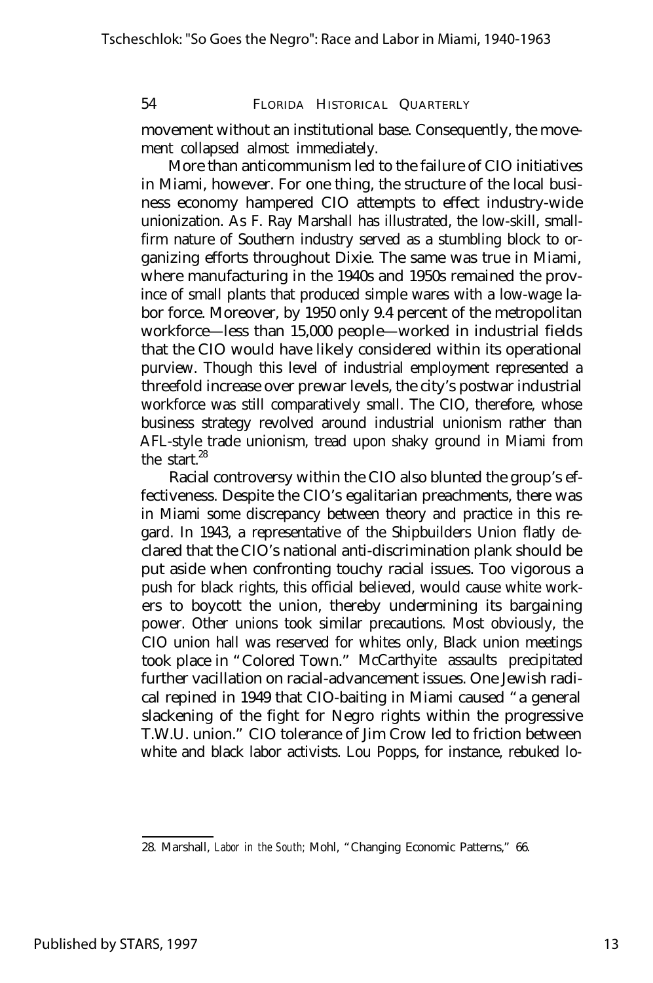movement without an institutional base. Consequently, the movement collapsed almost immediately.

More than anticommunism led to the failure of CIO initiatives in Miami, however. For one thing, the structure of the local business economy hampered CIO attempts to effect industry-wide unionization. As F. Ray Marshall has illustrated, the low-skill, smallfirm nature of Southern industry served as a stumbling block to organizing efforts throughout Dixie. The same was true in Miami, where manufacturing in the 1940s and 1950s remained the province of small plants that produced simple wares with a low-wage labor force. Moreover, by 1950 only 9.4 percent of the metropolitan workforce— less than 15,000 people— worked in industrial fields that the CIO would have likely considered within its operational purview. Though this level of industrial employment represented a threefold increase over prewar levels, the city's postwar industrial workforce was still comparatively small. The CIO, therefore, whose business strategy revolved around industrial unionism rather than AFL-style trade unionism, tread upon shaky ground in Miami from the start. $^{28}$ 

Racial controversy within the CIO also blunted the group's effectiveness. Despite the CIO's egalitarian preachments, there was in Miami some discrepancy between theory and practice in this regard. In 1943, a representative of the Shipbuilders Union flatly declared that the CIO's national anti-discrimination plank should be put aside when confronting touchy racial issues. Too vigorous a push for black rights, this official believed, would cause white workers to boycott the union, thereby undermining its bargaining power. Other unions took similar precautions. Most obviously, the CIO union hall was reserved for whites only, Black union meetings took place in "Colored Town." McCarthyite assaults precipitated further vacillation on racial-advancement issues. One Jewish radical repined in 1949 that CIO-baiting in Miami caused "a general slackening of the fight for Negro rights within the progressive T.W.U. union." CIO tolerance of Jim Crow led to friction between white and black labor activists. Lou Popps, for instance, rebuked lo-

<sup>28.</sup> Marshall, *Labor in the South;* Mohl, "Changing Economic Patterns," 66.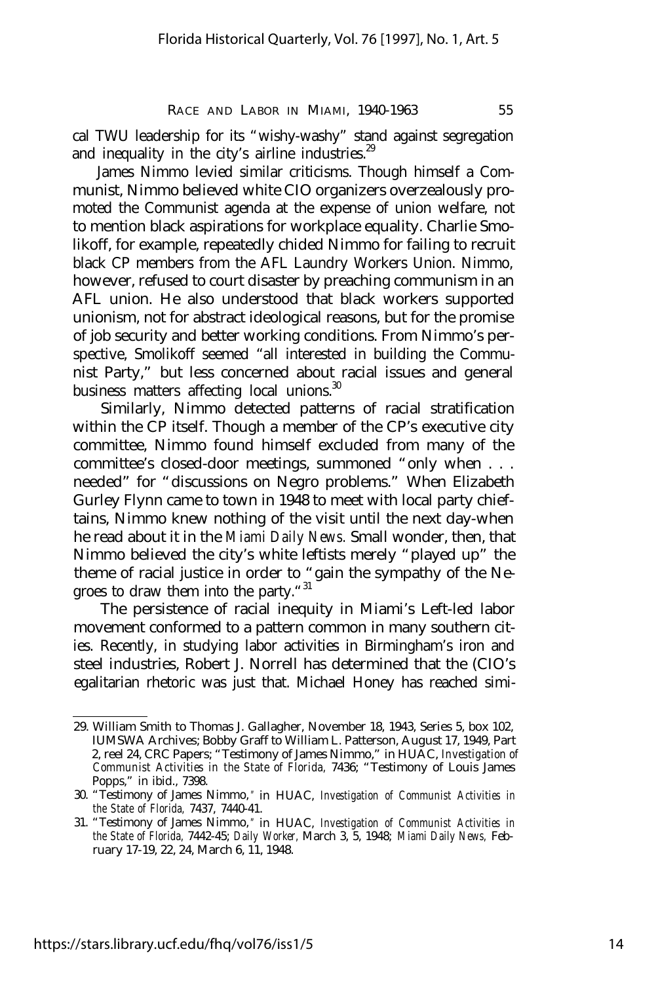cal TWU leadership for its "wishy-washy" stand against segregation and inequality in the city's airline industries.<sup>29</sup>

James Nimmo levied similar criticisms. Though himself a Communist, Nimmo believed white CIO organizers overzealously promoted the Communist agenda at the expense of union welfare, not to mention black aspirations for workplace equality. Charlie Smolikoff, for example, repeatedly chided Nimmo for failing to recruit black CP members from the AFL Laundry Workers Union. Nimmo, however, refused to court disaster by preaching communism in an AFL union. He also understood that black workers supported unionism, not for abstract ideological reasons, but for the promise of job security and better working conditions. From Nimmo's perspective, Smolikoff seemed "all interested in building the Communist Party," but less concerned about racial issues and general business matters affecting local unions.<sup>30</sup>

Similarly, Nimmo detected patterns of racial stratification within the CP itself. Though a member of the CP's executive city committee, Nimmo found himself excluded from many of the committee's closed-door meetings, summoned "only when . . . needed" for "discussions on Negro problems." When Elizabeth Gurley Flynn came to town in 1948 to meet with local party chieftains, Nimmo knew nothing of the visit until the next day-when he read about it in the *Miami Daily News.* Small wonder, then, that Nimmo believed the city's white leftists merely "played up" the theme of racial justice in order to "gain the sympathy of the Negroes to draw them into the party."<sup>31</sup>

The persistence of racial inequity in Miami's Left-led labor movement conformed to a pattern common in many southern cities. Recently, in studying labor activities in Birmingham's iron and steel industries, Robert J. Norrell has determined that the (CIO's egalitarian rhetoric was just that. Michael Honey has reached simi-

<sup>29.</sup> William Smith to Thomas J. Gallagher, November 18, 1943, Series 5, box 102, IUMSWA Archives; Bobby Graff to William L. Patterson, August 17, 1949, Part 2, reel 24, CRC Papers; "Testimony of James Nimmo," in HUAC, *Investigation of Communist Activities in the State of Florida,* 7436; "Testimony of Louis James Popps," in ibid., 7398.

<sup>30. &</sup>quot;Testimony of James Nimmo, " in HUAC, *Investigation of Communist Activities in the State of Florida,* 7437, 7440-41.

<sup>31. &</sup>quot;Testimony of James Nimmo, " in HUAC, *Investigation of Communist Activities in the State of Florida,* 7442-45; *Daily Worker,* March 3, 5, 1948; *Miami Daily News,* February 17-19, 22, 24, March 6, 11, 1948.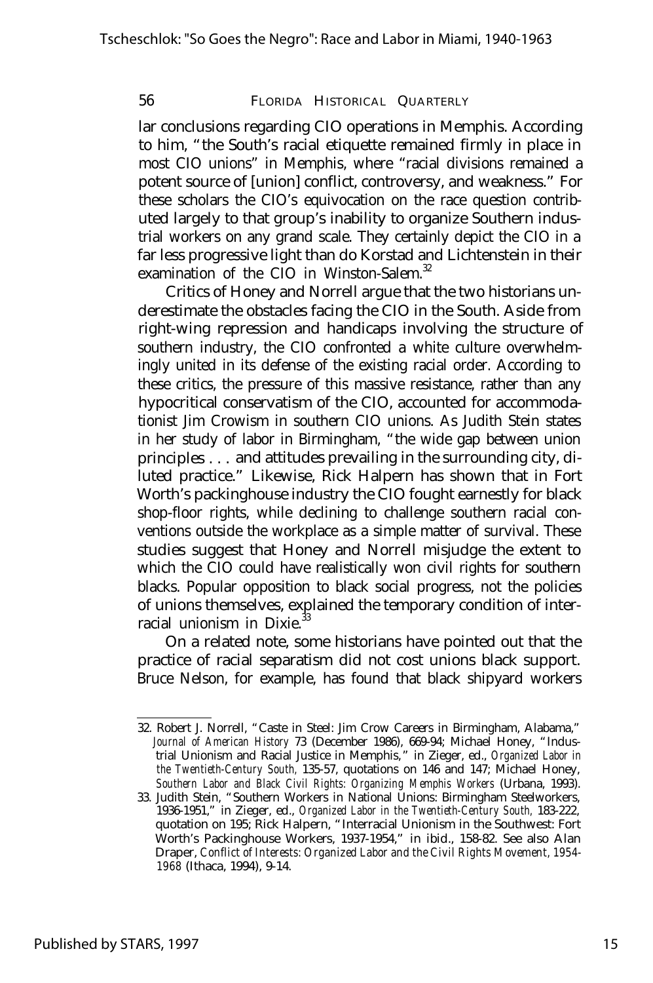lar conclusions regarding CIO operations in Memphis. According to him, "the South's racial etiquette remained firmly in place in most CIO unions" in Memphis, where "racial divisions remained a potent source of [union] conflict, controversy, and weakness." For these scholars the CIO's equivocation on the race question contributed largely to that group's inability to organize Southern industrial workers on any grand scale. They certainly depict the CIO in a far less progressive light than do Korstad and Lichtenstein in their examination of the CIO in Winston-Salem.<sup>32</sup>

Critics of Honey and Norrell argue that the two historians underestimate the obstacles facing the CIO in the South. Aside from right-wing repression and handicaps involving the structure of southern industry, the CIO confronted a white culture overwhelmingly united in its defense of the existing racial order. According to these critics, the pressure of this massive resistance, rather than any hypocritical conservatism of the CIO, accounted for accommodationist Jim Crowism in southern CIO unions. As Judith Stein states in her study of labor in Birmingham, "the wide gap between union principles . . . and attitudes prevailing in the surrounding city, diluted practice." Likewise, Rick Halpern has shown that in Fort Worth's packinghouse industry the CIO fought earnestly for black shop-floor rights, while declining to challenge southern racial conventions outside the workplace as a simple matter of survival. These studies suggest that Honey and Norrell misjudge the extent to which the CIO could have realistically won civil rights for southern blacks. Popular opposition to black social progress, not the policies of unions themselves, explained the temporary condition of interracial unionism in Dixie.<sup>3</sup>

On a related note, some historians have pointed out that the practice of racial separatism did not cost unions black support. Bruce Nelson, for example, has found that black shipyard workers

<sup>32.</sup> Robert J. Norrell, "Caste in Steel: Jim Crow Careers in Birmingham, Alabama," *Journal of American History* 73 (December 1986), 669-94; Michael Honey, "Industrial Unionism and Racial Justice in Memphis," in Zieger, ed., *Organized Labor in the Twentieth-Century South,* 135-57, quotations on 146 and 147; Michael Honey, *Southern Labor and Black Civil Rights: Organizing Memphis Workers* (Urbana, 1993).

<sup>33.</sup> Judith Stein, "Southern Workers in National Unions: Birmingham Steelworkers, 1936-1951," in Zieger, ed., *Organized Labor in the Twentieth-Century South,* 183-222, quotation on 195; Rick Halpern, "Interracial Unionism in the Southwest: Fort Worth's Packinghouse Workers, 1937-1954," in ibid., 158-82. See also Alan Draper, *Conflict of Interests: Organized Labor and the Civil Rights Movement, 1954- 1968* (Ithaca, 1994), 9-14.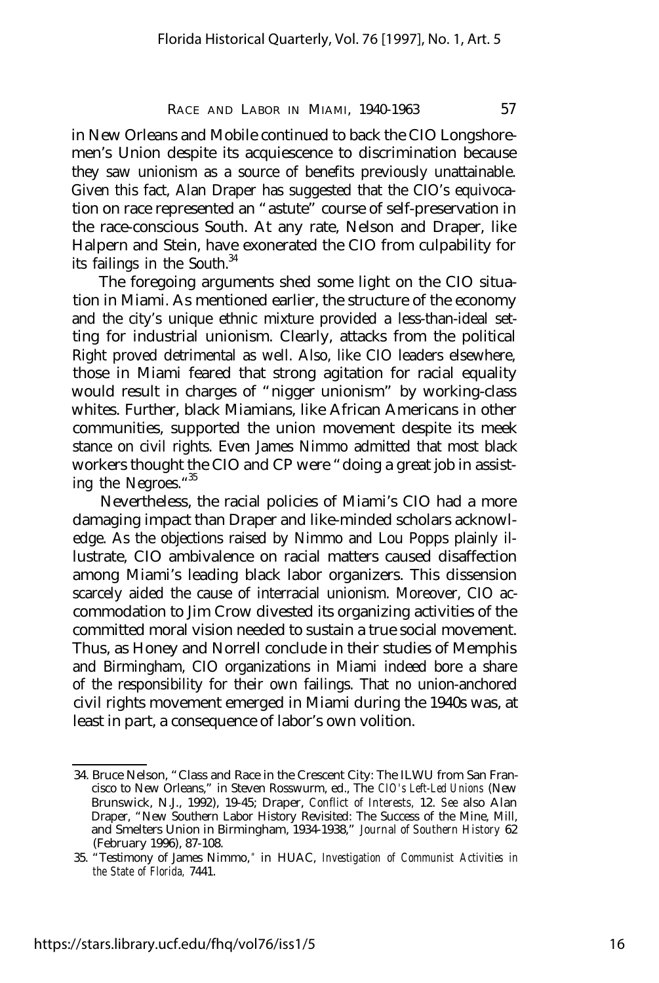in New Orleans and Mobile continued to back the CIO Longshoremen's Union despite its acquiescence to discrimination because they saw unionism as a source of benefits previously unattainable. Given this fact, Alan Draper has suggested that the CIO's equivocation on race represented an "astute" course of self-preservation in the race-conscious South. At any rate, Nelson and Draper, like Halpern and Stein, have exonerated the CIO from culpability for its failings in the South.<sup>34</sup>

The foregoing arguments shed some light on the CIO situation in Miami. As mentioned earlier, the structure of the economy and the city's unique ethnic mixture provided a less-than-ideal setting for industrial unionism. Clearly, attacks from the political Right proved detrimental as well. Also, like CIO leaders elsewhere, those in Miami feared that strong agitation for racial equality would result in charges of "nigger unionism" by working-class whites. Further, black Miamians, like African Americans in other communities, supported the union movement despite its meek stance on civil rights. Even James Nimmo admitted that most black workers thought the CIO and CP were "doing a great job in assisting the Negroes." 35

Nevertheless, the racial policies of Miami's CIO had a more damaging impact than Draper and like-minded scholars acknowledge. As the objections raised by Nimmo and Lou Popps plainly illustrate, CIO ambivalence on racial matters caused disaffection among Miami's leading black labor organizers. This dissension scarcely aided the cause of interracial unionism. Moreover, CIO accommodation to Jim Crow divested its organizing activities of the committed moral vision needed to sustain a true social movement. Thus, as Honey and Norrell conclude in their studies of Memphis and Birmingham, CIO organizations in Miami indeed bore a share of the responsibility for their own failings. That no union-anchored civil rights movement emerged in Miami during the 1940s was, at least in part, a consequence of labor's own volition.

<sup>34.</sup> Bruce Nelson, "Class and Race in the Crescent City: The ILWU from San Francisco to New Orleans," in Steven Rosswurm, ed., The *CIO's Left-Led Unions* (New Brunswick, N.J., 1992), 19-45; Draper, *Conflict of Interests,* 12. *See* also Alan Draper, "New Southern Labor History Revisited: The Success of the Mine, Mill, and Smelters Union in Birmingham, 1934-1938," *Journal of Southern History* 62 (February 1996), 87-108.

<sup>35. &</sup>quot;Testimony of James Nimmo, " in HUAC, *Investigation of Communist Activities in the State of Florida,* 7441.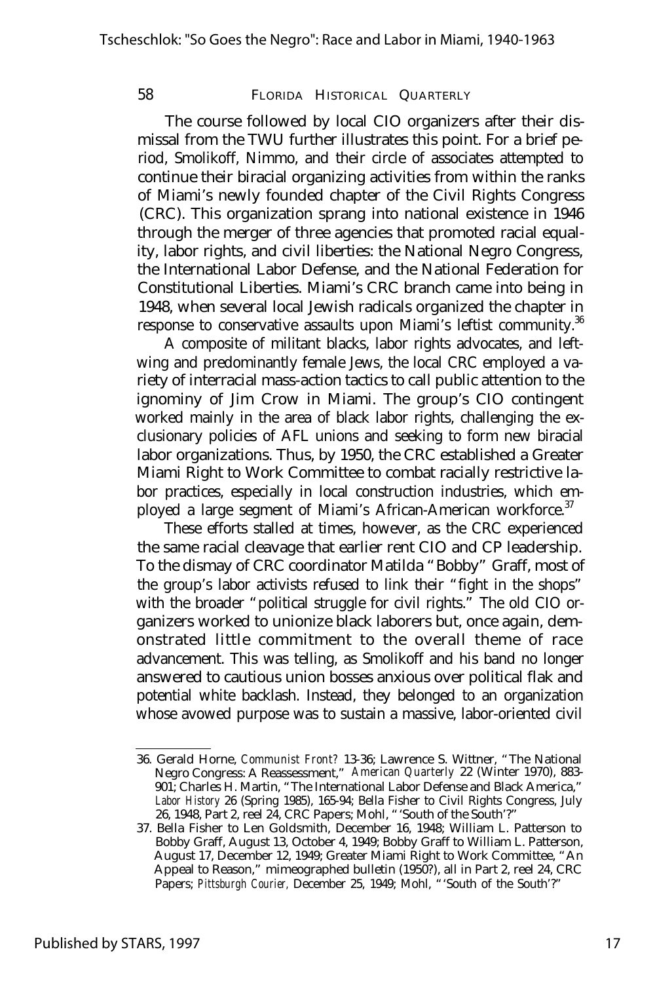The course followed by local CIO organizers after their dismissal from the TWU further illustrates this point. For a brief period, Smolikoff, Nimmo, and their circle of associates attempted to continue their biracial organizing activities from within the ranks of Miami's newly founded chapter of the Civil Rights Congress (CRC). This organization sprang into national existence in 1946 through the merger of three agencies that promoted racial equality, labor rights, and civil liberties: the National Negro Congress, the International Labor Defense, and the National Federation for Constitutional Liberties. Miami's CRC branch came into being in 1948, when several local Jewish radicals organized the chapter in response to conservative assaults upon Miami's leftist community.<sup>36</sup>

A composite of militant blacks, labor rights advocates, and leftwing and predominantly female Jews, the local CRC employed a variety of interracial mass-action tactics to call public attention to the ignominy of Jim Crow in Miami. The group's CIO contingent worked mainly in the area of black labor rights, challenging the exclusionary policies of AFL unions and seeking to form new biracial labor organizations. Thus, by 1950, the CRC established a Greater Miami Right to Work Committee to combat racially restrictive labor practices, especially in local construction industries, which employed a large segment of Miami's African-American workforce.<sup>37</sup>

These efforts stalled at times, however, as the CRC experienced the same racial cleavage that earlier rent CIO and CP leadership. To the dismay of CRC coordinator Matilda "Bobby" Graff, most of the group's labor activists refused to link their "fight in the shops" with the broader "political struggle for civil rights." The old CIO organizers worked to unionize black laborers but, once again, demonstrated little commitment to the overall theme of race advancement. This was telling, as Smolikoff and his band no longer answered to cautious union bosses anxious over political flak and potential white backlash. Instead, they belonged to an organization whose avowed purpose was to sustain a massive, labor-oriented civil

<sup>36.</sup> Gerald Horne, *Communist Front?* 13-36; Lawrence S. Wittner, "The National Negro Congress: A Reassessment," *American Quarterly* 22 (Winter 1970), 883- 901; Charles H. Martin, "The International Labor Defense and Black America," *Labor History* 26 (Spring 1985), 165-94; Bella Fisher to Civil Rights Congress, July 26, 1948, Part 2, reel 24, CRC Papers; Mohl, "'South of the South'?"

<sup>37.</sup> Bella Fisher to Len Goldsmith, December 16, 1948; William L. Patterson to Bobby Graff, August 13, October 4, 1949; Bobby Graff to William L. Patterson, August 17, December 12, 1949; Greater Miami Right to Work Committee, "An Appeal to Reason," mimeographed bulletin (1950?), all in Part 2, reel 24, CRC Papers; Pittsburgh Courier, December 25, 1949; Mohl, "'South of the South'?"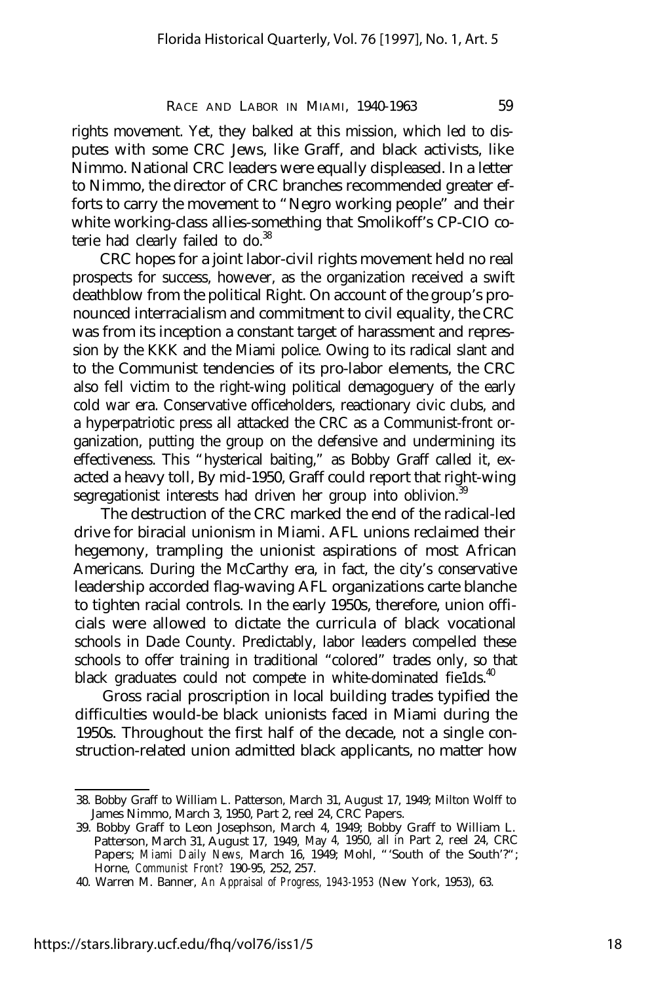rights movement. Yet, they balked at this mission, which led to disputes with some CRC Jews, like Graff, and black activists, like Nimmo. National CRC leaders were equally displeased. In a letter to Nimmo, the director of CRC branches recommended greater efforts to carry the movement to "Negro working people" and their white working-class allies-something that Smolikoff's CP-CIO coterie had clearly failed to do.<sup>38</sup>

CRC hopes for a joint labor-civil rights movement held no real prospects for success, however, as the organization received a swift deathblow from the political Right. On account of the group's pronounced interracialism and commitment to civil equality, the CRC was from its inception a constant target of harassment and repression by the KKK and the Miami police. Owing to its radical slant and to the Communist tendencies of its pro-labor elements, the CRC also fell victim to the right-wing political demagoguery of the early cold war era. Conservative officeholders, reactionary civic clubs, and a hyperpatriotic press all attacked the CRC as a Communist-front organization, putting the group on the defensive and undermining its effectiveness. This "hysterical baiting," as Bobby Graff called it, exacted a heavy toll, By mid-1950, Graff could report that right-wing segregationist interests had driven her group into oblivion.<sup>3</sup>

The destruction of the CRC marked the end of the radical-led drive for biracial unionism in Miami. AFL unions reclaimed their hegemony, trampling the unionist aspirations of most African Americans. During the McCarthy era, in fact, the city's conservative leadership accorded flag-waving AFL organizations carte blanche to tighten racial controls. In the early 1950s, therefore, union officials were allowed to dictate the curricula of black vocational schools in Dade County. Predictably, labor leaders compelled these schools to offer training in traditional "colored" trades only, so that black graduates could not compete in white-dominated fields. $40$ 

Gross racial proscription in local building trades typified the difficulties would-be black unionists faced in Miami during the 1950s. Throughout the first half of the decade, not a single construction-related union admitted black applicants, no matter how

https://stars.library.ucf.edu/fhq/vol76/iss1/5

<sup>38.</sup> Bobby Graff to William L. Patterson, March 31, August 17, 1949; Milton Wolff to James Nimmo, March 3, 1950, Part 2, reel 24, CRC Papers.

<sup>39.</sup> Bobby Graff to Leon Josephson, March 4, 1949; Bobby Graff to William L. Patterson, March 31, August 17, 1949, May 4, 1950, all in Part 2, reel 24, CRC Papers; *Miami Daily News*, March 16, 1949; Mohl, "'South of the South'?"; Horne, *Communist Front?* 190-95, 252, 257.

<sup>40.</sup> Warren M. Banner, *An Appraisal of Progress, 1943-1953* (New York, 1953), 63.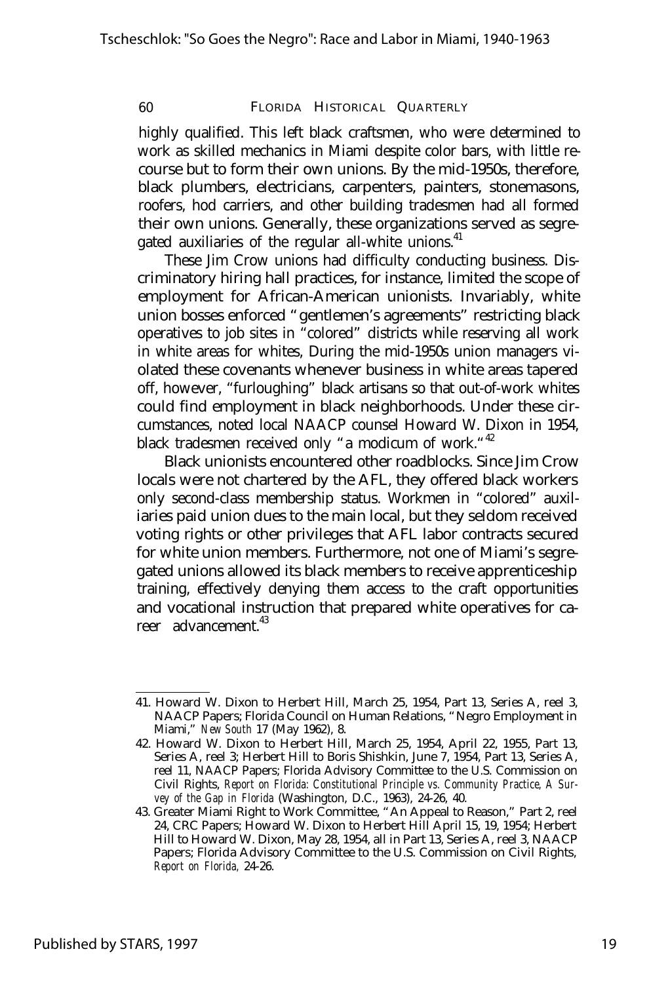highly qualified. This left black craftsmen, who were determined to work as skilled mechanics in Miami despite color bars, with little recourse but to form their own unions. By the mid-1950s, therefore, black plumbers, electricians, carpenters, painters, stonemasons, roofers, hod carriers, and other building tradesmen had all formed their own unions. Generally, these organizations served as segregated auxiliaries of the regular all-white unions.<sup>41</sup>

These Jim Crow unions had difficulty conducting business. Discriminatory hiring hall practices, for instance, limited the scope of employment for African-American unionists. Invariably, white union bosses enforced "gentlemen's agreements" restricting black operatives to job sites in "colored" districts while reserving all work in white areas for whites, During the mid-1950s union managers violated these covenants whenever business in white areas tapered off, however, "furloughing" black artisans so that out-of-work whites could find employment in black neighborhoods. Under these circumstances, noted local NAACP counsel Howard W. Dixon in 1954, black tradesmen received only "a modicum of work."<sup>42</sup>

Black unionists encountered other roadblocks. Since Jim Crow locals were not chartered by the AFL, they offered black workers only second-class membership status. Workmen in "colored" auxiliaries paid union dues to the main local, but they seldom received voting rights or other privileges that AFL labor contracts secured for white union members. Furthermore, not one of Miami's segregated unions allowed its black members to receive apprenticeship training, effectively denying them access to the craft opportunities and vocational instruction that prepared white operatives for career advancement<sup>43</sup>

<sup>41.</sup> Howard W. Dixon to Herbert Hill, March 25, 1954, Part 13, Series A, reel 3, NAACP Papers; Florida Council on Human Relations, "Negro Employment in Miami," *New South* 17 (May 1962), 8.

<sup>42.</sup> Howard W. Dixon to Herbert Hill, March 25, 1954, April 22, 1955, Part 13, Series A, reel 3; Herbert Hill to Boris Shishkin, June 7, 1954, Part 13, Series A, reel 11, NAACP Papers; Florida Advisory Committee to the U.S. Commission on Civil Rights, *Report on Florida: Constitutional Principle vs. Community Practice, A Survey of the Gap in Florida* (Washington, D.C., 1963), 24-26, 40.

<sup>43.</sup> Greater Miami Right to Work Committee, "An Appeal to Reason," Part 2, reel 24, CRC Papers; Howard W. Dixon to Herbert Hill April 15, 19, 1954; Herbert Hill to Howard W. Dixon, May 28, 1954, all in Part 13, Series A, reel 3, NAACP Papers; Florida Advisory Committee to the U.S. Commission on Civil Rights, *Report on Florida,* 24-26.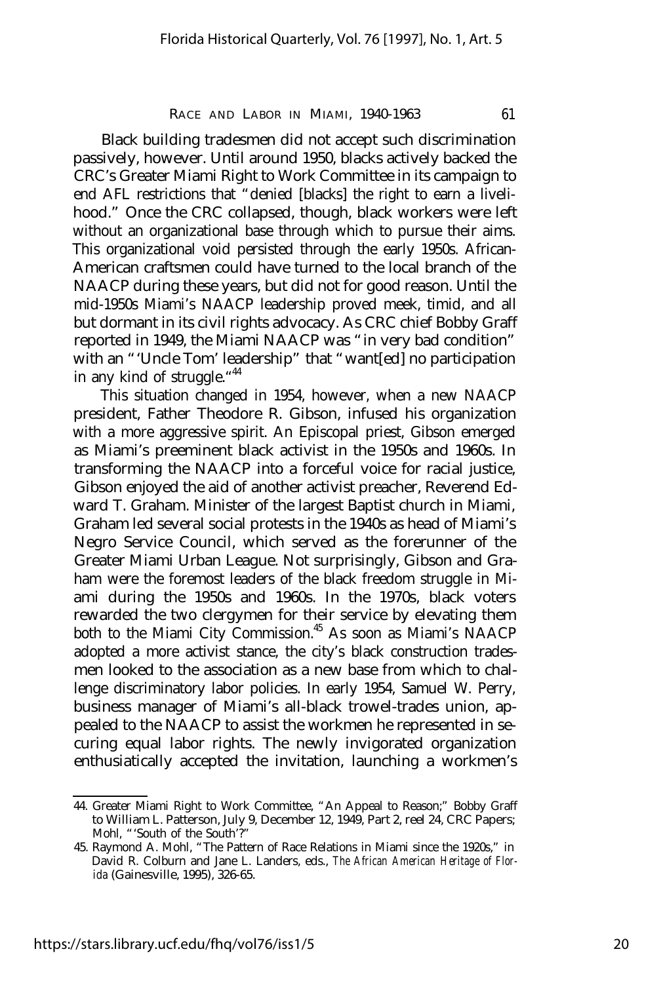Black building tradesmen did not accept such discrimination passively, however. Until around 1950, blacks actively backed the CRC's Greater Miami Right to Work Committee in its campaign to end AFL restrictions that "denied [blacks] the right to earn a livelihood." Once the CRC collapsed, though, black workers were left without an organizational base through which to pursue their aims. This organizational void persisted through the early 1950s. African-American craftsmen could have turned to the local branch of the NAACP during these years, but did not for good reason. Until the mid-1950s Miami's NAACP leadership proved meek, timid, and all but dormant in its civil rights advocacy. As CRC chief Bobby Graff reported in 1949, the Miami NAACP was "in very bad condition" with an "'Uncle Tom' leadership" that "want[ed] no participation in any kind of struggle."<sup>44</sup>

This situation changed in 1954, however, when a new NAACP president, Father Theodore R. Gibson, infused his organization with a more aggressive spirit. An Episcopal priest, Gibson emerged as Miami's preeminent black activist in the 1950s and 1960s. In transforming the NAACP into a forceful voice for racial justice, Gibson enjoyed the aid of another activist preacher, Reverend Edward T. Graham. Minister of the largest Baptist church in Miami, Graham led several social protests in the 1940s as head of Miami's Negro Service Council, which served as the forerunner of the Greater Miami Urban League. Not surprisingly, Gibson and Graham were the foremost leaders of the black freedom struggle in Miami during the 1950s and 1960s. In the 1970s, black voters rewarded the two clergymen for their service by elevating them both to the Miami City Commission.<sup>45</sup> As soon as Miami's NAACP adopted a more activist stance, the city's black construction tradesmen looked to the association as a new base from which to challenge discriminatory labor policies. In early 1954, Samuel W. Perry, business manager of Miami's all-black trowel-trades union, appealed to the NAACP to assist the workmen he represented in securing equal labor rights. The newly invigorated organization enthusiatically accepted the invitation, launching a workmen's

<sup>44.</sup> Greater Miami Right to Work Committee, "An Appeal to Reason;" Bobby Graff to William L. Patterson, July 9, December 12, 1949, Part 2, reel 24, CRC Papers; Mohl, "'South of the South'?"

<sup>45.</sup> Raymond A. Mohl, "The Pattern of Race Relations in Miami since the 1920s," in David R. Colburn and Jane L. Landers, eds., *The African American Heritage of Florida* (Gainesville, 1995), 326-65.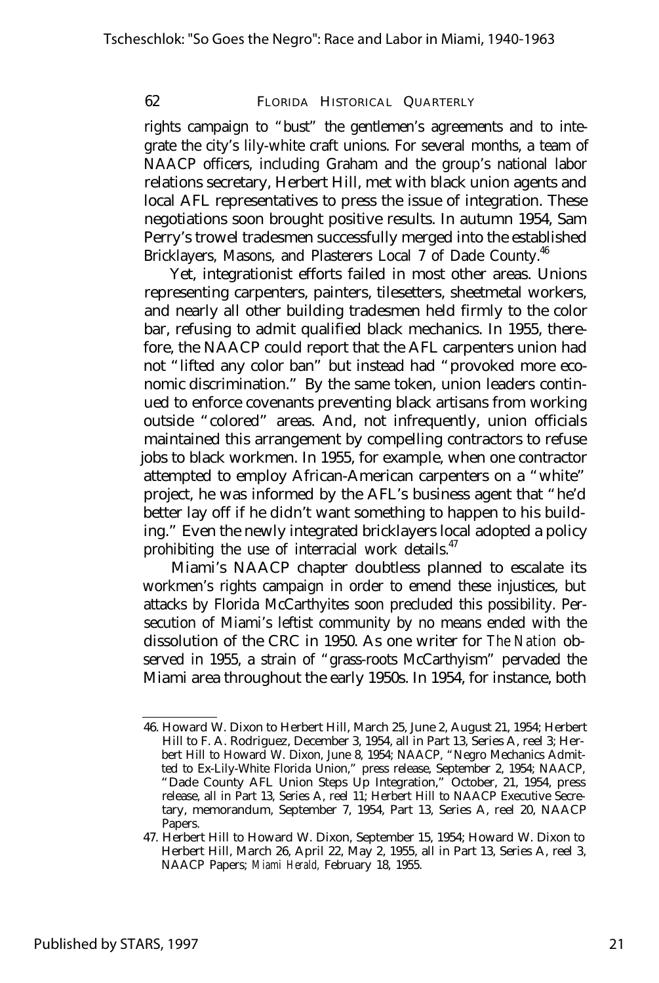rights campaign to "bust" the gentlemen's agreements and to integrate the city's lily-white craft unions. For several months, a team of NAACP officers, including Graham and the group's national labor relations secretary, Herbert Hill, met with black union agents and local AFL representatives to press the issue of integration. These negotiations soon brought positive results. In autumn 1954, Sam Perry's trowel tradesmen successfully merged into the established Bricklayers, Masons, and Plasterers Local 7 of Dade County.<sup>46</sup>

Yet, integrationist efforts failed in most other areas. Unions representing carpenters, painters, tilesetters, sheetmetal workers, and nearly all other building tradesmen held firmly to the color bar, refusing to admit qualified black mechanics. In 1955, therefore, the NAACP could report that the AFL carpenters union had not "lifted any color ban" but instead had "provoked more economic discrimination." By the same token, union leaders continued to enforce covenants preventing black artisans from working outside "colored" areas. And, not infrequently, union officials maintained this arrangement by compelling contractors to refuse jobs to black workmen. In 1955, for example, when one contractor attempted to employ African-American carpenters on a "white" project, he was informed by the AFL's business agent that "he'd better lay off if he didn't want something to happen to his building." Even the newly integrated bricklayers local adopted a policy prohibiting the use of interracial work details.<sup>47</sup>

Miami's NAACP chapter doubtless planned to escalate its workmen's rights campaign in order to emend these injustices, but attacks by Florida McCarthyites soon precluded this possibility. Persecution of Miami's leftist community by no means ended with the dissolution of the CRC in 1950. As one writer for *The Nation* observed in 1955, a strain of "grass-roots McCarthyism" pervaded the Miami area throughout the early 1950s. In 1954, for instance, both

<sup>46.</sup> Howard W. Dixon to Herbert Hill, March 25, June 2, August 21, 1954; Herbert Hill to F. A. Rodriguez, December 3, 1954, all in Part 13, Series A, reel 3; Herbert Hill to Howard W. Dixon, June 8, 1954; NAACP, "Negro Mechanics Admitted to Ex-Lily-White Florida Union," press release, September 2, 1954; NAACP, "Dade County AFL Union Steps Up Integration," October, 21, 1954, press release, all in Part 13, Series A, reel 11; Herbert Hill to NAACP Executive Secretary, memorandum, September 7, 1954, Part 13, Series A, reel 20, NAACP Papers.

<sup>47.</sup> Herbert Hill to Howard W. Dixon, September 15, 1954; Howard W. Dixon to Herbert Hill, March 26, April 22, May 2, 1955, all in Part 13, Series A, reel 3, NAACP Papers; *Miami Herald,* February 18, 1955.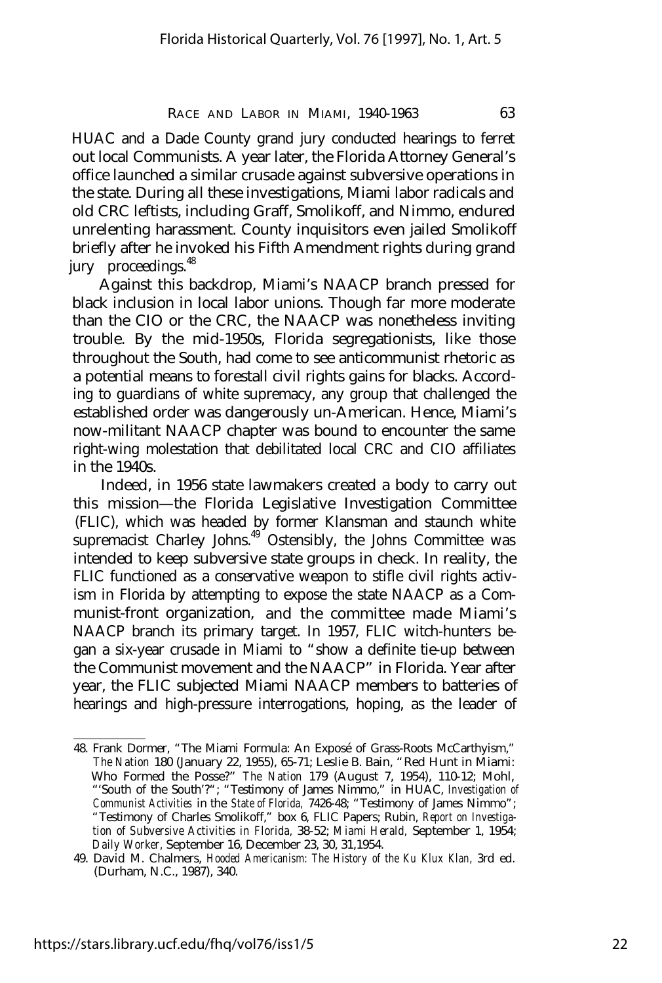HUAC and a Dade County grand jury conducted hearings to ferret out local Communists. A year later, the Florida Attorney General's office launched a similar crusade against subversive operations in the state. During all these investigations, Miami labor radicals and old CRC leftists, including Graff, Smolikoff, and Nimmo, endured unrelenting harassment. County inquisitors even jailed Smolikoff briefly after he invoked his Fifth Amendment rights during grand jury proceedings.<sup>48</sup>

Against this backdrop, Miami's NAACP branch pressed for black inclusion in local labor unions. Though far more moderate than the CIO or the CRC, the NAACP was nonetheless inviting trouble. By the mid-1950s, Florida segregationists, like those throughout the South, had come to see anticommunist rhetoric as a potential means to forestall civil rights gains for blacks. According to guardians of white supremacy, any group that challenged the established order was dangerously un-American. Hence, Miami's now-militant NAACP chapter was bound to encounter the same right-wing molestation that debilitated local CRC and CIO affiliates in the 1940s.

Indeed, in 1956 state lawmakers created a body to carry out this mission— the Florida Legislative Investigation Committee (FLIC), which was headed by former Klansman and staunch white supremacist Charley Johns.<sup>49</sup> Ostensibly, the Johns Committee was intended to keep subversive state groups in check. In reality, the FLIC functioned as a conservative weapon to stifle civil rights activism in Florida by attempting to expose the state NAACP as a Communist-front organization, and the committee made Miami's NAACP branch its primary target. In 1957, FLIC witch-hunters began a six-year crusade in Miami to "show a definite tie-up between the Communist movement and the NAACP" in Florida. Year after year, the FLIC subjected Miami NAACP members to batteries of hearings and high-pressure interrogations, hoping, as the leader of

<sup>48.</sup> Frank Dormer, "The Miami Formula: An Exposé of Grass-Roots McCarthyism," *The Nation* 180 (January 22, 1955), 65-71; Leslie B. Bain, "Red Hunt in Miami: Who Formed the Posse?" *The Nation* 179 (August 7, 1954), 110-12; Mohl, "'South of the South'?"; "Testimony of James Nimmo," in HUAC, *Investigation of Communist Activities* in the *State of Florida,* 7426-48; "Testimony of James Nimmo"; "Testimony of Charles Smolikoff," box 6, FLIC Papers; Rubin, *Report on Investigation of Subversive Activities in Florida,* 38-52; *Miami Herald,* September 1, 1954; *Daily Worker,* September 16, December 23, 30, 31,1954.

<sup>49.</sup> David M. Chalmers, *Hooded Americanism: The History of the Ku Klux Klan,* 3rd ed. (Durham, N.C., 1987), 340.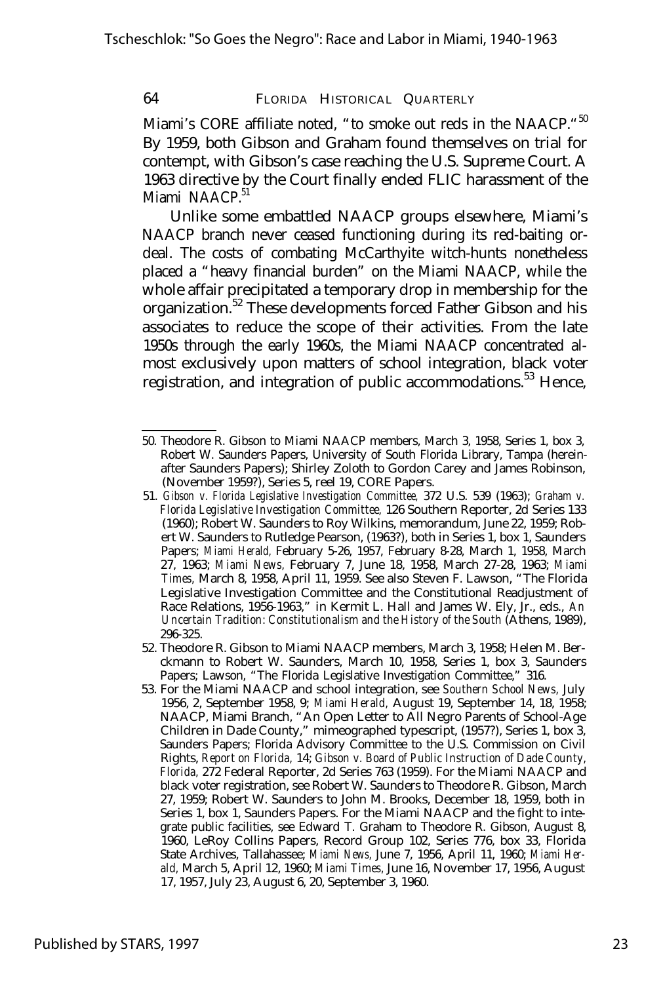Miami's CORE affiliate noted, "to smoke out reds in the NAACP."<sup>50</sup> By 1959, both Gibson and Graham found themselves on trial for contempt, with Gibson's case reaching the U.S. Supreme Court. A 1963 directive by the Court finally ended FLIC harassment of the Miami NAACP.<sup>51</sup>

Unlike some embattled NAACP groups elsewhere, Miami's NAACP branch never ceased functioning during its red-baiting ordeal. The costs of combating McCarthyite witch-hunts nonetheless placed a "heavy financial burden" on the Miami NAACP, while the whole affair precipitated a temporary drop in membership for the organization.<sup>52</sup> These developments forced Father Gibson and his associates to reduce the scope of their activities. From the late 1950s through the early 1960s, the Miami NAACP concentrated almost exclusively upon matters of school integration, black voter registration, and integration of public accommodations.<sup>53</sup> Hence,

<sup>50.</sup> Theodore R. Gibson to Miami NAACP members, March 3, 1958, Series 1, box 3, Robert W. Saunders Papers, University of South Florida Library, Tampa (hereinafter Saunders Papers); Shirley Zoloth to Gordon Carey and James Robinson, (November 1959?), Series 5, reel 19, CORE Papers.

<sup>51.</sup> *Gibson v. Florida Legislative Investigation Committee,* 372 U.S. 539 (1963); *Graham v. Florida Legislative Investigation Committee,* 126 Southern Reporter, 2d Series 133 (1960); Robert W. Saunders to Roy Wilkins, memorandum, June 22, 1959; Robert W. Saunders to Rutledge Pearson, (1963?), both in Series 1, box 1, Saunders Papers; *Miami Herald,* February 5-26, 1957, February 8-28, March 1, 1958, March 27, 1963; *Miami News,* February 7, June 18, 1958, March 27-28, 1963; *Miami Times,* March 8, 1958, April 11, 1959. See also Steven F. Lawson, "The Florida Legislative Investigation Committee and the Constitutional Readjustment of Race Relations, 1956-1963," in Kermit L. Hall and James W. Ely, Jr., eds., *An Uncertain Tradition: Constitutionalism and the History of the South (Athens, 1989),* 296-325.

<sup>52.</sup> Theodore R. Gibson to Miami NAACP members, March 3, 1958; Helen M. Berckmann to Robert W. Saunders, March 10, 1958, Series 1, box 3, Saunders Papers; Lawson, "The Florida Legislative Investigation Committee," 316.

<sup>53.</sup> For the Miami NAACP and school integration, see *Southern School News,* July 1956, 2, September 1958, 9; *Miami Herald,* August 19, September 14, 18, 1958; NAACP, Miami Branch, "An Open Letter to All Negro Parents of School-Age Children in Dade County," mimeographed typescript, (1957?), Series 1, box 3, Saunders Papers; Florida Advisory Committee to the U.S. Commission on Civil Rights, *Report on Florida,* 14; *Gibson v. Board of Public Instruction of Dade County, Florida,* 272 Federal Reporter, 2d Series 763 (1959). For the Miami NAACP and black voter registration, see Robert W. Saunders to Theodore R. Gibson, March 27, 1959; Robert W. Saunders to John M. Brooks, December 18, 1959, both in Series 1, box 1, Saunders Papers. For the Miami NAACP and the fight to integrate public facilities, see Edward T. Graham to Theodore R. Gibson, August 8, 1960, LeRoy Collins Papers, Record Group 102, Series 776, box 33, Florida State Archives, Tallahassee; *Miami News,* June 7, 1956, April 11, 1960; *Miami Herald,* March 5, April 12, 1960; *Miami Times,* June 16, November 17, 1956, August 17, 1957, July 23, August 6, 20, September 3, 1960.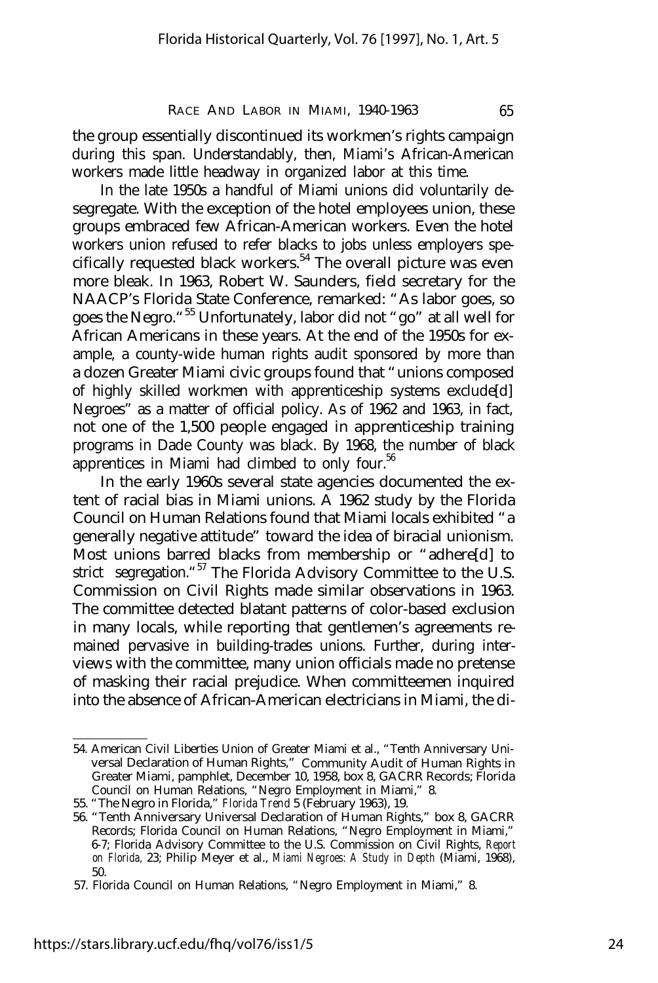the group essentially discontinued its workmen's rights campaign during this span. Understandably, then, Miami's African-American workers made little headway in organized labor at this time.

In the late 1950s a handful of Miami unions did voluntarily desegregate. With the exception of the hotel employees union, these groups embraced few African-American workers. Even the hotel workers union refused to refer blacks to jobs unless employers specifically requested black workers.<sup>54</sup> The overall picture was even more bleak. In 1963, Robert W. Saunders, field secretary for the NAACP's Florida State Conference, remarked: "As labor goes, so goes the Negro."<sup>55</sup> Unfortunately, labor did not "go" at all well for African Americans in these years. At the end of the 1950s for example, a county-wide human rights audit sponsored by more than a dozen Greater Miami civic groups found that "unions composed of highly skilled workmen with apprenticeship systems exclude[d] Negroes" as a matter of official policy. As of 1962 and 1963, in fact, not one of the 1,500 people engaged in apprenticeship training programs in Dade County was black. By 1968, the number of black apprentices in Miami had climbed to only four. $56$ 

In the early 1960s several state agencies documented the extent of racial bias in Miami unions. A 1962 study by the Florida Council on Human Relations found that Miami locals exhibited "a generally negative attitude" toward the idea of biracial unionism. Most unions barred blacks from membership or "adhere[d] to strict segregation."<sup>57</sup> The Florida Advisory Committee to the U.S. Commission on Civil Rights made similar observations in 1963. The committee detected blatant patterns of color-based exclusion in many locals, while reporting that gentlemen's agreements remained pervasive in building-trades unions. Further, during interviews with the committee, many union officials made no pretense of masking their racial prejudice. When committeemen inquired into the absence of African-American electricians in Miami, the di-

<sup>54.</sup> American Civil Liberties Union of Greater Miami et al., "Tenth Anniversary Universal Declaration of Human Rights," Community Audit of Human Rights in Greater Miami, pamphlet, December 10, 1958, box 8, GACRR Records; Florida Council on Human Relations, "Negro Employment in Miami," 8.

<sup>55. &</sup>quot;The Negro in Florida," *Florida Trend* 5 (February 1963), 19.

<sup>56. &</sup>quot;Tenth Anniversary Universal Declaration of Human Rights," box 8, GACRR Records; Florida Council on Human Relations, "Negro Employment in Miami," 6-7; Florida Advisory Committee to the U.S. Commission on Civil Rights, *Report on Florida,* 23; Philip Meyer et al., *Miami Negroes: A Study in Depth* (Miami, 1968), 50.

<sup>57.</sup> Florida Council on Human Relations, "Negro Employment in Miami," 8.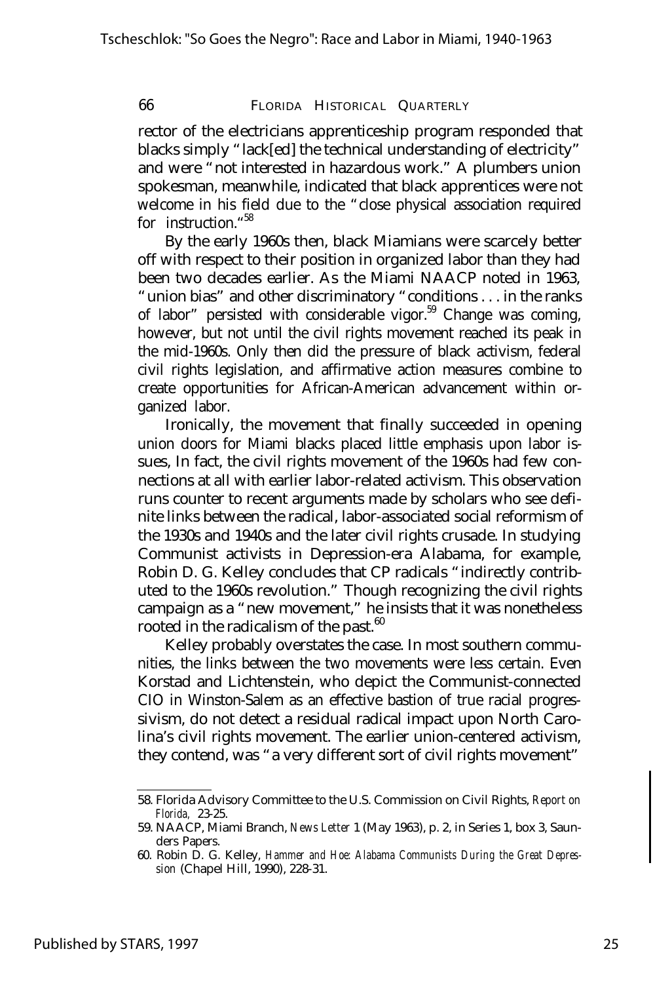rector of the electricians apprenticeship program responded that blacks simply "lack[ed] the technical understanding of electricity" and were "not interested in hazardous work." A plumbers union spokesman, meanwhile, indicated that black apprentices were not welcome in his field due to the "close physical association required for instruction." 58

By the early 1960s then, black Miamians were scarcely better off with respect to their position in organized labor than they had been two decades earlier. As the Miami NAACP noted in 1963, "union bias" and other discriminatory "conditions . . . in the ranks of labor" persisted with considerable vigor.<sup>59</sup> Change was coming, however, but not until the civil rights movement reached its peak in the mid-1960s. Only then did the pressure of black activism, federal civil rights legislation, and affirmative action measures combine to create opportunities for African-American advancement within organized labor.

Ironically, the movement that finally succeeded in opening union doors for Miami blacks placed little emphasis upon labor issues, In fact, the civil rights movement of the 1960s had few connections at all with earlier labor-related activism. This observation runs counter to recent arguments made by scholars who see definite links between the radical, labor-associated social reformism of the 1930s and 1940s and the later civil rights crusade. In studying Communist activists in Depression-era Alabama, for example, Robin D. G. Kelley concludes that CP radicals "indirectly contributed to the 1960s revolution." Though recognizing the civil rights campaign as a "new movement," he insists that it was nonetheless rooted in the radicalism of the past.<sup>60</sup>

Kelley probably overstates the case. In most southern communities, the links between the two movements were less certain. Even Korstad and Lichtenstein, who depict the Communist-connected CIO in Winston-Salem as an effective bastion of true racial progressivism, do not detect a residual radical impact upon North Carolina's civil rights movement. The earlier union-centered activism, they contend, was "a very different sort of civil rights movement"

<sup>58.</sup> Florida Advisory Committee to the U.S. Commission on Civil Rights, *Report on Florida,* 23-25.

<sup>59.</sup> NAACP, Miami Branch, *News Letter* 1 (May 1963), p. 2, in Series 1, box 3, Saunders Papers.

<sup>60.</sup> Robin D. G. Kelley, *Hammer and Hoe: Alabama Communists During the Great Depression* (Chapel Hill, 1990), 228-31.